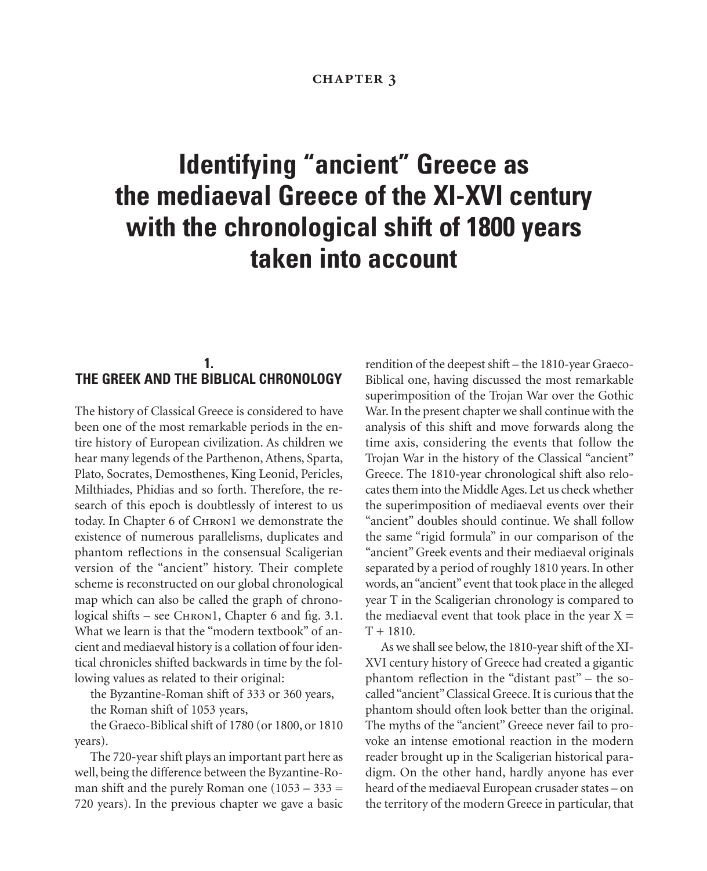#### **chapter 3**

# **Identifying "ancient" Greece as the mediaeval Greece of the XI-XVI century with the chronological shift of 1800 years taken into account**

#### **1. THE GREEK AND THE BIBLICAL CHRONOLOGY**

The history of Classical Greece is considered to have been one of the most remarkable periods in the entire history of European civilization. As children we hear many legends of the Parthenon, Athens, Sparta, Plato, Socrates, Demosthenes, King Leonid, Pericles, Milthiades, Phidias and so forth. Therefore, the research of this epoch is doubtlessly of interest to us today. In Chapter 6 of Chron1 we demonstrate the existence of numerous parallelisms, duplicates and phantom reflections in the consensual Scaligerian version of the "ancient" history. Their complete scheme is reconstructed on our global chronological map which can also be called the graph of chronological shifts – see Chron1, Chapter 6 and fig. 3.1. What we learn is that the "modern textbook" of ancient and mediaeval history is a collation of four identical chronicles shifted backwards in time by the following values as related to their original:

the Byzantine-Roman shift of 333 or 360 years, the Roman shift of 1053 years,

the Graeco-Biblical shift of 1780 (or 1800, or 1810 years).

The 720-year shift plays an important part here as well, being the difference between the Byzantine-Roman shift and the purely Roman one (1053 – 333 = 720 years). In the previous chapter we gave a basic rendition of the deepest shift – the 1810-year Graeco-Biblical one, having discussed the most remarkable superimposition of the Trojan War over the Gothic War.In the present chapter we shall continue with the analysis of this shift and move forwards along the time axis, considering the events that follow the Trojan War in the history of the Classical "ancient" Greece. The 1810-year chronological shift also relocates them into the Middle Ages. Let us check whether the superimposition of mediaeval events over their "ancient" doubles should continue. We shall follow the same "rigid formula" in our comparison of the "ancient" Greek events and their mediaeval originals separated by a period of roughly 1810 years. In other words, an "ancient" event that took place in the alleged year T in the Scaligerian chronology is compared to the mediaeval event that took place in the year  $X =$  $T + 1810.$ 

As we shall see below, the 1810-year shift of the XI-XVI century history of Greece had created a gigantic phantom reflection in the "distant past" – the socalled "ancient" Classical Greece. It is curious that the phantom should often look better than the original. The myths of the "ancient" Greece never fail to provoke an intense emotional reaction in the modern reader brought up in the Scaligerian historical paradigm. On the other hand, hardly anyone has ever heard of the mediaeval European crusader states – on the territory of the modern Greece in particular, that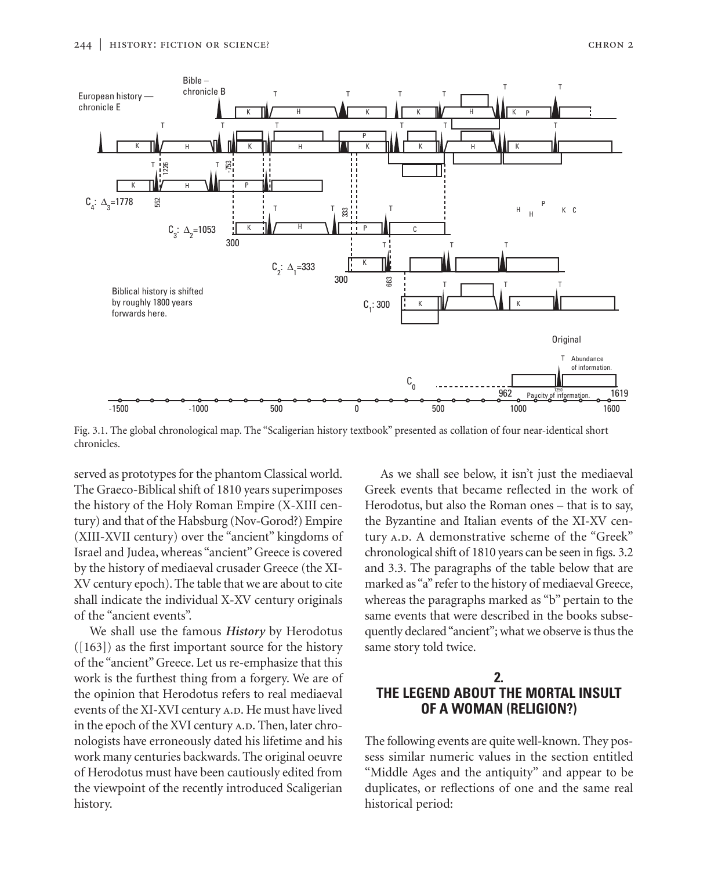

Fig. 3.1. The global chronological map. The "Scaligerian history textbook" presented as collation of four near-identical short chronicles.

served as prototypes for the phantom Classical world. The Graeco-Biblical shift of 1810 years superimposes the history of the Holy Roman Empire (X-XIII century) and that of the Habsburg (Nov-Gorod?) Empire (XIII-XVII century) over the "ancient" kingdoms of Israel and Judea, whereas "ancient" Greece is covered by the history of mediaeval crusader Greece (the XI-XV century epoch). The table that we are about to cite shall indicate the individual X-XV century originals of the "ancient events".

We shall use the famous *History* by Herodotus ([163]) as the first important source for the history of the "ancient" Greece. Let us re-emphasize that this work is the furthest thing from a forgery. We are of the opinion that Herodotus refers to real mediaeval events of the XI-XVI century A.D. He must have lived in the epoch of the XVI century A.D. Then, later chronologists have erroneously dated his lifetime and his work many centuries backwards. The original oeuvre of Herodotus must have been cautiously edited from the viewpoint of the recently introduced Scaligerian history.

As we shall see below, it isn't just the mediaeval Greek events that became reflected in the work of Herodotus, but also the Roman ones – that is to say, the Byzantine and Italian events of the XI-XV century A.D. A demonstrative scheme of the "Greek" chronological shift of 1810 years can be seen in figs. 3.2 and 3.3. The paragraphs of the table below that are marked as "a"refer to the history of mediaeval Greece, whereas the paragraphs marked as "b" pertain to the same events that were described in the books subsequently declared "ancient"; what we observe is thus the same story told twice.

## **2. THE LEGEND ABOUT THE MORTAL INSULT OF A WOMAN (RELIGION?)**

The following events are quite well-known. They possess similar numeric values in the section entitled "Middle Ages and the antiquity" and appear to be duplicates, or reflections of one and the same real historical period: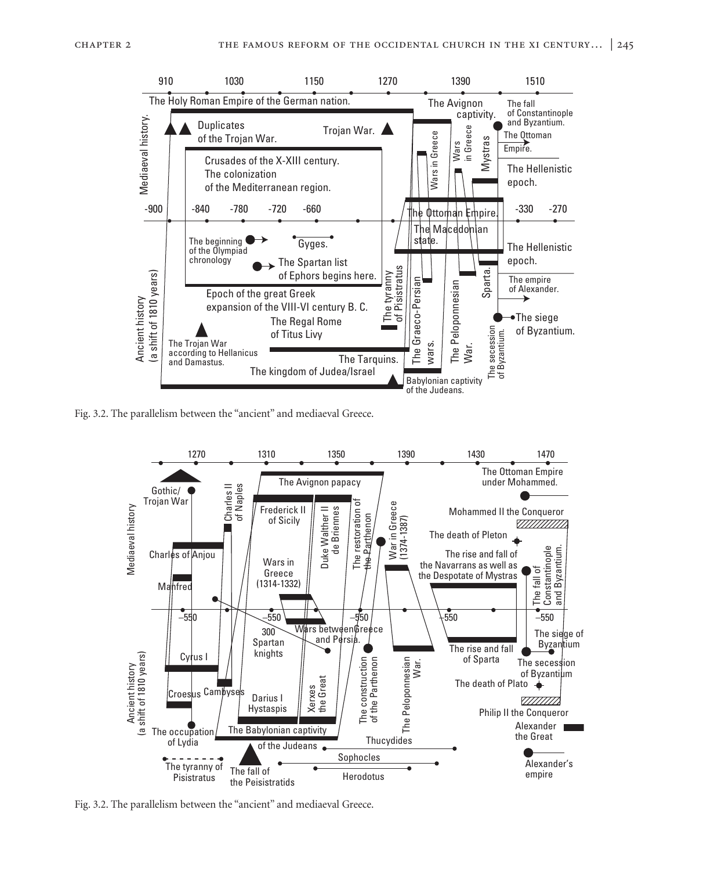

Fig. 3.2. The parallelism between the "ancient" and mediaeval Greece.



Fig. 3.2. The parallelism between the "ancient" and mediaeval Greece.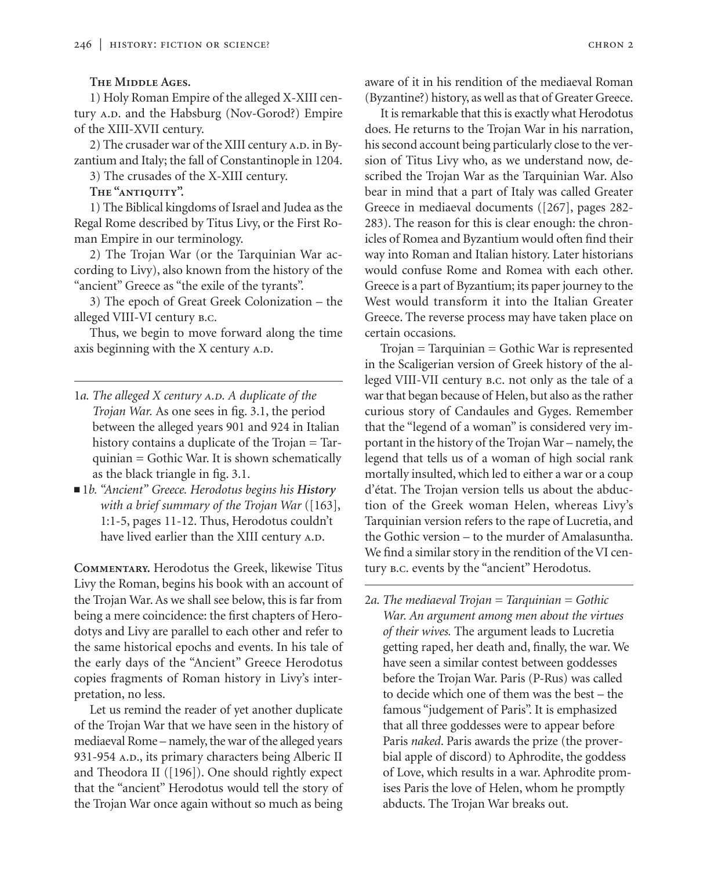1) Holy Roman Empire of the alleged X-XIII century A.D. and the Habsburg (Nov-Gorod?) Empire of the XIII-XVII century.

2) The crusader war of the XIII century A.D. in Byzantium and Italy; the fall of Constantinople in 1204.

3) The crusades of the X-XIII century.

#### **The "antiquity".**

1) The Biblical kingdoms of Israel and Judea as the Regal Rome described by Titus Livy, or the First Roman Empire in our terminology.

2) The Trojan War (or the Tarquinian War according to Livy), also known from the history of the "ancient" Greece as "the exile of the tyrants".

3) The epoch of Great Greek Colonization – the alleged VIII-VI century b.c.

Thus, we begin to move forward along the time axis beginning with the X century A.D.

- 1*a. The alleged X century A.D. A duplicate of the Trojan War.* As one sees in fig. 3.1, the period between the alleged years 901 and 924 in Italian history contains a duplicate of the Trojan = Tarquinian = Gothic War. It is shown schematically as the black triangle in fig. 3.1.
- 1*b. "Ancient" Greece. Herodotus begins his History with a brief summary of the Trojan War* ([163], 1:1-5, pages 11-12. Thus, Herodotus couldn't have lived earlier than the XIII century A.D.

**Commentary.** Herodotus the Greek, likewise Titus Livy the Roman, begins his book with an account of the Trojan War. As we shall see below, this is far from being a mere coincidence: the first chapters of Herodotys and Livy are parallel to each other and refer to the same historical epochs and events. In his tale of the early days of the "Ancient" Greece Herodotus copies fragments of Roman history in Livy's interpretation, no less.

Let us remind the reader of yet another duplicate of the Trojan War that we have seen in the history of mediaeval Rome – namely, the war of the alleged years 931-954 A.D., its primary characters being Alberic II and Theodora II ([196]). One should rightly expect that the "ancient" Herodotus would tell the story of the Trojan War once again without so much as being aware of it in his rendition of the mediaeval Roman (Byzantine?) history, as well as that of Greater Greece.

It is remarkable that this is exactly what Herodotus does. He returns to the Trojan War in his narration, his second account being particularly close to the version of Titus Livy who, as we understand now, described the Trojan War as the Tarquinian War. Also bear in mind that a part of Italy was called Greater Greece in mediaeval documents ([267], pages 282- 283). The reason for this is clear enough: the chronicles of Romea and Byzantium would often find their way into Roman and Italian history. Later historians would confuse Rome and Romea with each other. Greece is a part of Byzantium; its paper journey to the West would transform it into the Italian Greater Greece. The reverse process may have taken place on certain occasions.

Trojan = Tarquinian = Gothic War is represented in the Scaligerian version of Greek history of the alleged VIII-VII century b.c. not only as the tale of a war that began because of Helen, but also as the rather curious story of Candaules and Gyges. Remember that the "legend of a woman" is considered very important in the history of the Trojan War – namely, the legend that tells us of a woman of high social rank mortally insulted, which led to either a war or a coup d'état. The Trojan version tells us about the abduction of the Greek woman Helen, whereas Livy's Tarquinian version refers to the rape of Lucretia, and the Gothic version – to the murder of Amalasuntha. We find a similar story in the rendition of the VI century b.c. events by the "ancient" Herodotus.

2*a. The mediaeval Trojan = Tarquinian = Gothic War. An argument among men about the virtues of their wives.* The argument leads to Lucretia getting raped, her death and, finally, the war. We have seen a similar contest between goddesses before the Trojan War. Paris (P-Rus) was called to decide which one of them was the best – the famous "judgement of Paris". It is emphasized that all three goddesses were to appear before Paris *naked*. Paris awards the prize (the proverbial apple of discord) to Aphrodite, the goddess of Love, which results in a war. Aphrodite promises Paris the love of Helen, whom he promptly abducts. The Trojan War breaks out.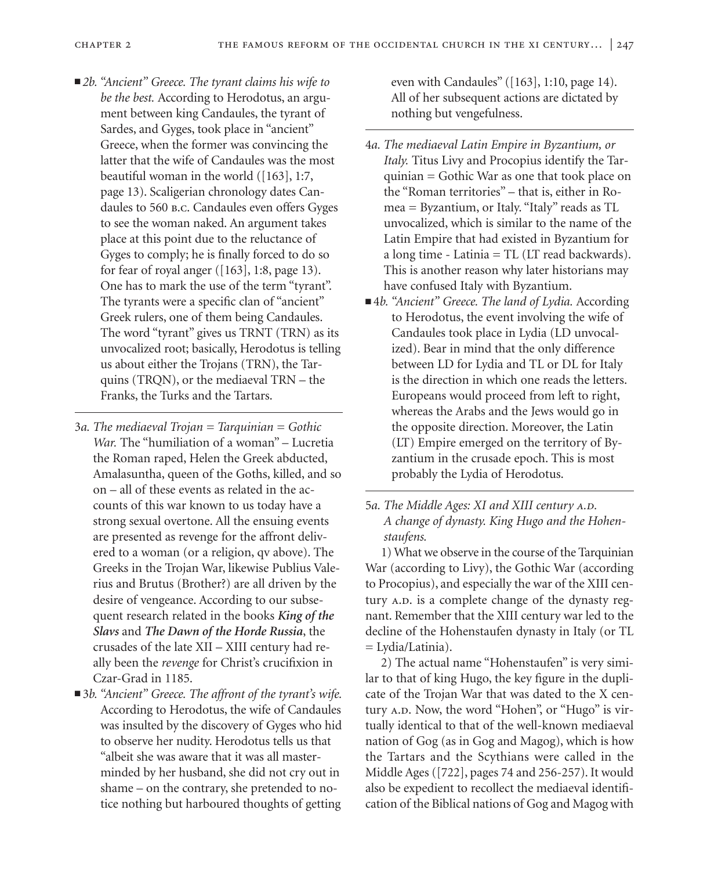- *2b. "Ancient" Greece. The tyrant claims his wife to be the best.* According to Herodotus, an argument between king Candaules, the tyrant of Sardes, and Gyges, took place in "ancient" Greece, when the former was convincing the latter that the wife of Candaules was the most beautiful woman in the world ([163], 1:7, page 13). Scaligerian chronology dates Candaules to 560 b.c. Candaules even offers Gyges to see the woman naked. An argument takes place at this point due to the reluctance of Gyges to comply; he is finally forced to do so for fear of royal anger ([163], 1:8, page 13). One has to mark the use of the term "tyrant". The tyrants were a specific clan of "ancient" Greek rulers, one of them being Candaules. The word "tyrant" gives us TRNT (TRN) as its unvocalized root; basically, Herodotus is telling us about either the Trojans (TRN), the Tarquins (TRQN), or the mediaeval TRN – the Franks, the Turks and the Tartars.
- 3*a. The mediaeval Trojan = Tarquinian = Gothic War.* The "humiliation of a woman" – Lucretia the Roman raped, Helen the Greek abducted, Amalasuntha, queen of the Goths, killed, and so on – all of these events as related in the accounts of this war known to us today have a strong sexual overtone. All the ensuing events are presented as revenge for the affront delivered to a woman (or a religion, qv above). The Greeks in the Trojan War, likewise Publius Valerius and Brutus (Brother?) are all driven by the desire of vengeance. According to our subsequent research related in the books *King of the Slavs* and *The Dawn of the Horde Russia*, the crusades of the late XII – XIII century had really been the *revenge* for Christ's crucifixion in Czar-Grad in 1185.
- 3*b. "Ancient" Greece. The affront of the tyrant's wife.* According to Herodotus, the wife of Candaules was insulted by the discovery of Gyges who hid to observe her nudity. Herodotus tells us that "albeit she was aware that it was all masterminded by her husband, she did not cry out in shame – on the contrary, she pretended to notice nothing but harboured thoughts of getting

even with Candaules" ([163], 1:10, page 14). All of her subsequent actions are dictated by nothing but vengefulness.

- 4*a. The mediaeval Latin Empire in Byzantium, or Italy.* Titus Livy and Procopius identify the Tarquinian = Gothic War as one that took place on the "Roman territories" – that is, either in Romea = Byzantium, or Italy. "Italy" reads as TL unvocalized, which is similar to the name of the Latin Empire that had existed in Byzantium for a long time - Latinia = TL (LT read backwards). This is another reason why later historians may have confused Italy with Byzantium.
- 4*b.* "Ancient" Greece. The land of Lydia. According to Herodotus, the event involving the wife of Candaules took place in Lydia (LD unvocalized). Bear in mind that the only difference between LD for Lydia and TL or DL for Italy is the direction in which one reads the letters. Europeans would proceed from left to right, whereas the Arabs and the Jews would go in the opposite direction. Moreover, the Latin (LT) Empire emerged on the territory of Byzantium in the crusade epoch. This is most probably the Lydia of Herodotus.

#### 5a. The Middle Ages: XI and XIII century A.D. *A change of dynasty. King Hugo and the Hohenstaufens.*

1) What we observe in the course of the Tarquinian War (according to Livy), the Gothic War (according to Procopius), and especially the war of the XIII century A.D. is a complete change of the dynasty regnant. Remember that the XIII century war led to the decline of the Hohenstaufen dynasty in Italy (or TL = Lydia/Latinia).

2) The actual name "Hohenstaufen" is very similar to that of king Hugo, the key figure in the duplicate of the Trojan War that was dated to the X century A.D. Now, the word "Hohen", or "Hugo" is virtually identical to that of the well-known mediaeval nation of Gog (as in Gog and Magog), which is how the Tartars and the Scythians were called in the Middle Ages ([722], pages 74 and 256-257). It would also be expedient to recollect the mediaeval identification of the Biblical nations of Gog and Magog with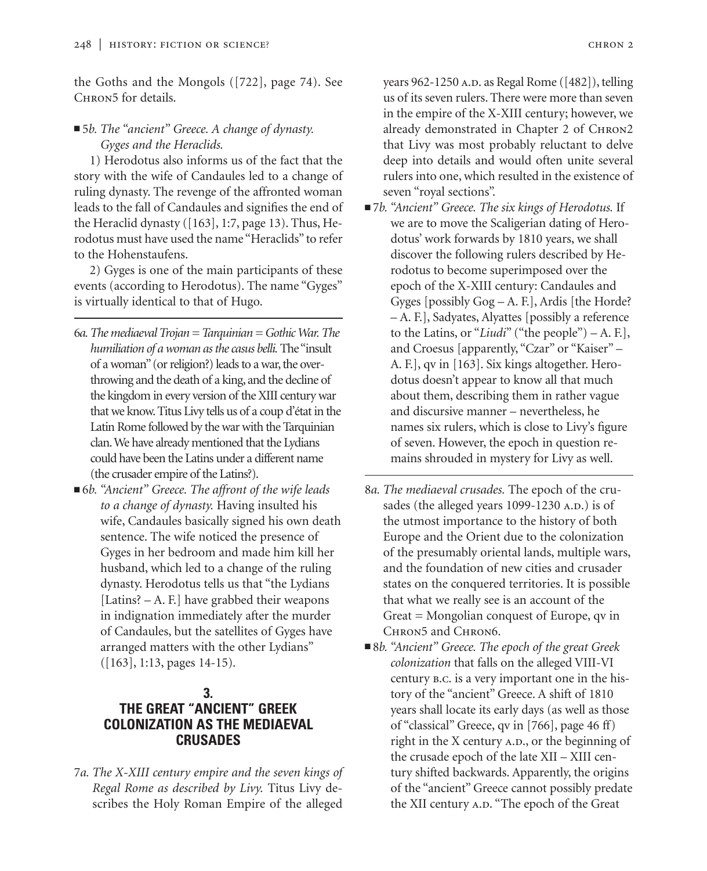the Goths and the Mongols ([722], page 74). See CHRON<sub>5</sub> for details.

#### ■ 5*b. The "ancient" Greece. A change of dynasty. Gyges and the Heraclids.*

1) Herodotus also informs us of the fact that the story with the wife of Candaules led to a change of ruling dynasty. The revenge of the affronted woman leads to the fall of Candaules and signifies the end of the Heraclid dynasty ([163], 1:7, page 13). Thus, Herodotus must have used the name "Heraclids" to refer to the Hohenstaufens.

2) Gyges is one of the main participants of these events (according to Herodotus). The name "Gyges" is virtually identical to that of Hugo.

- 6*a. The mediaeval Trojan = Tarquinian = Gothic War. The humiliation of a woman as the casus belli.*The "insult of a woman"(or religion?) leads to a war, the overthrowing and the death of a king, and the decline of the kingdom in every version of the XIII century war that we know. Titus Livy tells us of a coup d'état in the Latin Rome followed by the war with the Tarquinian clan.We have already mentioned that the Lydians could have been the Latins under a different name (the crusader empire of the Latins?).
- 6*b. "Ancient" Greece. The affront of the wife leads to a change of dynasty.* Having insulted his wife, Candaules basically signed his own death sentence. The wife noticed the presence of Gyges in her bedroom and made him kill her husband, which led to a change of the ruling dynasty. Herodotus tells us that "the Lydians [Latins? – A. F.] have grabbed their weapons in indignation immediately after the murder of Candaules, but the satellites of Gyges have arranged matters with the other Lydians" ([163], 1:13, pages 14-15).

#### **3.**

# **THE GREAT "ANCIENT" GREEK COLONIZATION AS THE MEDIAEVAL CRUSADES**

7*a. The X-XIII century empire and the seven kings of Regal Rome as described by Livy.* Titus Livy describes the Holy Roman Empire of the alleged

years 962-1250 A.D. as Regal Rome  $([482])$ , telling us of its seven rulers. There were more than seven in the empire of the X-XIII century; however, we already demonstrated in Chapter 2 of CHRON2 that Livy was most probably reluctant to delve deep into details and would often unite several rulers into one, which resulted in the existence of seven "royal sections".

- 7*b. "Ancient" Greece. The six kings of Herodotus.* If we are to move the Scaligerian dating of Herodotus' work forwards by 1810 years, we shall discover the following rulers described by Herodotus to become superimposed over the epoch of the X-XIII century: Candaules and Gyges [possibly Gog – A. F.], Ardis [the Horde? – A. F.], Sadyates, Alyattes [possibly a reference to the Latins, or "*Liudi*" ("the people") – A. F.], and Croesus [apparently, "Czar" or "Kaiser" – A. F.], qv in [163]. Six kings altogether. Herodotus doesn't appear to know all that much about them, describing them in rather vague and discursive manner – nevertheless, he names six rulers, which is close to Livy's figure of seven. However, the epoch in question remains shrouded in mystery for Livy as well.
- 8*a. The mediaeval crusades.* The epoch of the crusades (the alleged years 1099-1230 A.D.) is of the utmost importance to the history of both Europe and the Orient due to the colonization of the presumably oriental lands, multiple wars, and the foundation of new cities and crusader states on the conquered territories. It is possible that what we really see is an account of the Great = Mongolian conquest of Europe, qv in CHRON5 and CHRON6.
- 8*b. "Ancient" Greece. The epoch of the great Greek colonization* that falls on the alleged VIII-VI century b.c. is a very important one in the history of the "ancient" Greece. A shift of 1810 years shall locate its early days (as well as those of "classical" Greece, qv in [766], page 46 ff) right in the X century A.D., or the beginning of the crusade epoch of the late XII – XIII century shifted backwards. Apparently, the origins of the "ancient" Greece cannot possibly predate the XII century A.D. "The epoch of the Great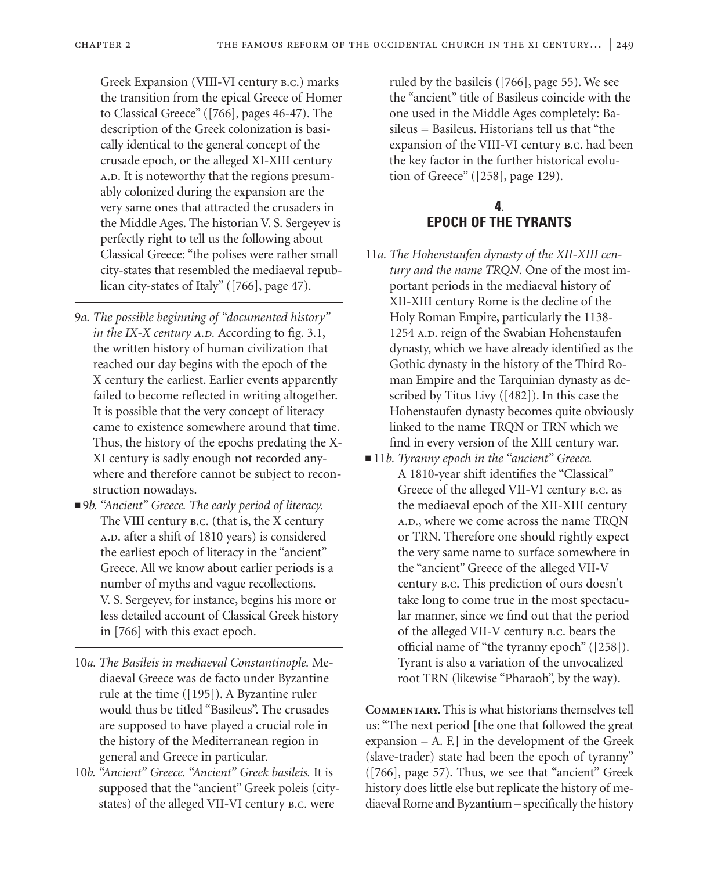Greek Expansion (VIII-VI century B.C.) marks the transition from the epical Greece of Homer to Classical Greece" ([766], pages 46-47). The description of the Greek colonization is basically identical to the general concept of the crusade epoch, or the alleged XI-XIII century a.D. It is noteworthy that the regions presumably colonized during the expansion are the very same ones that attracted the crusaders in the Middle Ages. The historian V. S. Sergeyev is perfectly right to tell us the following about Classical Greece: "the polises were rather small city-states that resembled the mediaeval republican city-states of Italy" ([766], page 47).

- 9*a. The possible beginning of "documented history" in the IX-X century A.D. According to fig. 3.1,* the written history of human civilization that reached our day begins with the epoch of the X century the earliest. Earlier events apparently failed to become reflected in writing altogether. It is possible that the very concept of literacy came to existence somewhere around that time. Thus, the history of the epochs predating the X-XI century is sadly enough not recorded anywhere and therefore cannot be subject to reconstruction nowadays.
- 9*b. "Ancient" Greece. The early period of literacy.* The VIII century B.C. (that is, the X century A.D. after a shift of 1810 years) is considered the earliest epoch of literacy in the "ancient" Greece. All we know about earlier periods is a number of myths and vague recollections. V. S. Sergeyev, for instance, begins his more or less detailed account of Classical Greek history in [766] with this exact epoch.
- 10*a. The Basileis in mediaeval Constantinople.* Mediaeval Greece was de facto under Byzantine rule at the time ([195]). A Byzantine ruler would thus be titled "Basileus". The crusades are supposed to have played a crucial role in the history of the Mediterranean region in general and Greece in particular.
- 10*b. "Ancient" Greece. "Ancient" Greek basileis.* It is supposed that the "ancient" Greek poleis (citystates) of the alleged VII-VI century b.c. were

ruled by the basileis ([766], page 55). We see the "ancient" title of Basileus coincide with the one used in the Middle Ages completely: Basileus = Basileus. Historians tell us that "the expansion of the VIII-VI century b.c. had been the key factor in the further historical evolution of Greece" ([258], page 129).

# **4. EPOCH OF THE TYRANTS**

- 11*a. The Hohenstaufen dynasty of the XII-XIII century and the name TRQN.* One of the most important periods in the mediaeval history of XII-XIII century Rome is the decline of the Holy Roman Empire, particularly the 1138- 1254 A.D. reign of the Swabian Hohenstaufen dynasty, which we have already identified as the Gothic dynasty in the history of the Third Roman Empire and the Tarquinian dynasty as described by Titus Livy ([482]). In this case the Hohenstaufen dynasty becomes quite obviously linked to the name TRQN or TRN which we find in every version of the XIII century war.
- 11*b. Tyranny epoch in the "ancient" Greece.* A 1810-year shift identifies the "Classical" Greece of the alleged VII-VI century b.c. as the mediaeval epoch of the XII-XIII century A.D., where we come across the name TRQN or TRN. Therefore one should rightly expect the very same name to surface somewhere in the "ancient" Greece of the alleged VII-V century b.c. This prediction of ours doesn't take long to come true in the most spectacular manner, since we find out that the period of the alleged VII-V century b.c. bears the official name of "the tyranny epoch" ([258]). Tyrant is also a variation of the unvocalized root TRN (likewise "Pharaoh", by the way).

**Commentary.** This is what historians themselves tell us: "The next period [the one that followed the great expansion  $-$  A. F.] in the development of the Greek (slave-trader) state had been the epoch of tyranny" ([766], page 57). Thus, we see that "ancient" Greek history does little else but replicate the history of mediaeval Rome and Byzantium – specifically the history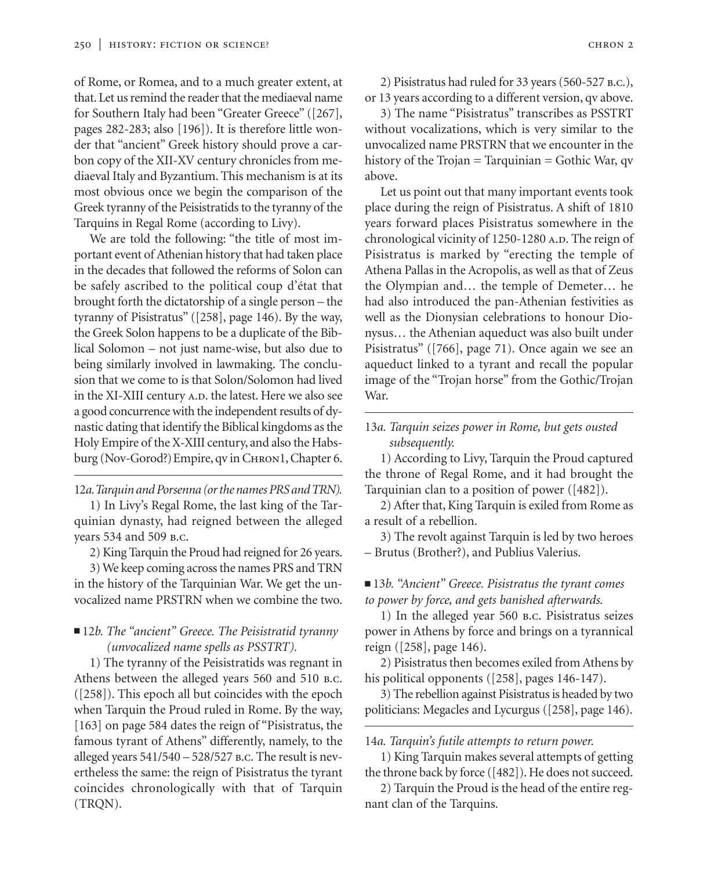of Rome, or Romea, and to a much greater extent, at that. Let us remind the reader that the mediaeval name for Southern Italy had been "Greater Greece" ([267], pages 282-283; also [196]). It is therefore little wonder that "ancient" Greek history should prove a carbon copy of the XII-XV century chronicles from mediaeval Italy and Byzantium. This mechanism is at its most obvious once we begin the comparison of the Greek tyranny of the Peisistratids to the tyranny of the Tarquins in Regal Rome (according to Livy).

We are told the following: "the title of most important event of Athenian history that had taken place in the decades that followed the reforms of Solon can be safely ascribed to the political coup d'état that brought forth the dictatorship of a single person – the tyranny of Pisistratus" ([258], page 146). By the way, the Greek Solon happens to be a duplicate of the Biblical Solomon – not just name-wise, but also due to being similarly involved in lawmaking. The conclusion that we come to is that Solon/Solomon had lived in the XI-XIII century A.D. the latest. Here we also see a good concurrence with the independent results of dynastic dating that identify the Biblical kingdoms as the Holy Empire of the X-XIII century, and also the Habsburg (Nov-Gorod?) Empire, qv in CHRON1, Chapter 6.

12*a.Tarquin and Porsenna (or the names PRS and TRN).*

1) In Livy's Regal Rome, the last king of the Tarquinian dynasty, had reigned between the alleged years 534 and 509 b.c.

2) King Tarquin the Proud had reigned for 26 years.

3) We keep coming across the names PRS and TRN in the history of the Tarquinian War. We get the unvocalized name PRSTRN when we combine the two.

#### ■ 12*b. The "ancient" Greece. The Peisistratid tyranny (unvocalized name spells as PSSTRT).*

1) The tyranny of the Peisistratids was regnant in Athens between the alleged years 560 and 510 B.C. ([258]). This epoch all but coincides with the epoch when Tarquin the Proud ruled in Rome. By the way, [163] on page 584 dates the reign of "Pisistratus, the famous tyrant of Athens" differently, namely, to the alleged years  $541/540 - 528/527$  B.C. The result is nevertheless the same: the reign of Pisistratus the tyrant coincides chronologically with that of Tarquin (TRQN).

2) Pisistratus had ruled for 33 years (560-527 b.c.), or 13 years according to a different version, qv above.

3) The name "Pisistratus" transcribes as PSSTRT without vocalizations, which is very similar to the unvocalized name PRSTRN that we encounter in the history of the Trojan = Tarquinian = Gothic War, qv above.

Let us point out that many important events took place during the reign of Pisistratus. A shift of 1810 years forward places Pisistratus somewhere in the chronological vicinity of 1250-1280 A.D. The reign of Pisistratus is marked by "erecting the temple of Athena Pallas in the Acropolis, as well as that of Zeus the Olympian and… the temple of Demeter… he had also introduced the pan-Athenian festivities as well as the Dionysian celebrations to honour Dionysus… the Athenian aqueduct was also built under Pisistratus" ([766], page 71). Once again we see an aqueduct linked to a tyrant and recall the popular image of the "Trojan horse" from the Gothic/Trojan War.

13*a. Tarquin seizes power in Rome, but gets ousted subsequently.*

1) According to Livy, Tarquin the Proud captured the throne of Regal Rome, and it had brought the Tarquinian clan to a position of power ([482]).

2) After that, King Tarquin is exiled from Rome as a result of a rebellion.

3) The revolt against Tarquin is led by two heroes – Brutus (Brother?), and Publius Valerius.

#### ■ 13*b. "Ancient" Greece. Pisistratus the tyrant comes to power by force, and gets banished afterwards.*

1) In the alleged year 560 b.c. Pisistratus seizes power in Athens by force and brings on a tyrannical reign ([258], page 146).

2) Pisistratus then becomes exiled from Athens by his political opponents ([258], pages 146-147).

3) The rebellion against Pisistratus is headed by two politicians: Megacles and Lycurgus ([258], page 146).

14*a. Tarquin's futile attempts to return power.*

1) King Tarquin makes several attempts of getting the throne back by force ([482]). He does not succeed.

2) Tarquin the Proud is the head of the entire regnant clan of the Tarquins.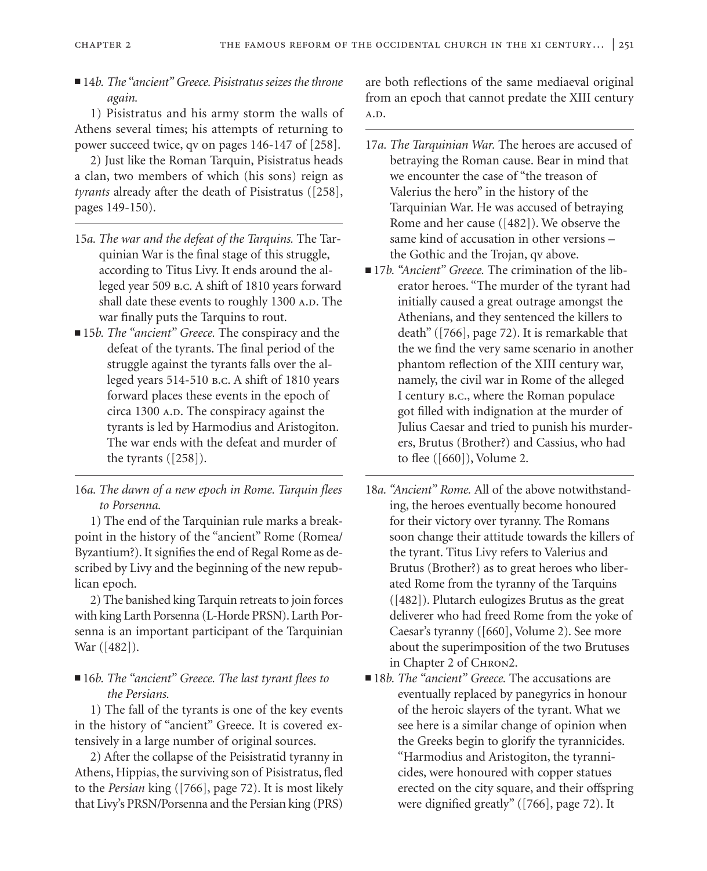■ 14*b. The "ancient" Greece. Pisistratus seizes the throne again.*

1) Pisistratus and his army storm the walls of Athens several times; his attempts of returning to power succeed twice, qv on pages 146-147 of [258].

2) Just like the Roman Tarquin, Pisistratus heads a clan, two members of which (his sons) reign as *tyrants* already after the death of Pisistratus ([258], pages 149-150).

- 15*a. The war and the defeat of the Tarquins.* The Tarquinian War is the final stage of this struggle, according to Titus Livy. It ends around the alleged year 509 b.c. A shift of 1810 years forward shall date these events to roughly 1300 A.D. The war finally puts the Tarquins to rout.
- 15*b. The "ancient" Greece.* The conspiracy and the defeat of the tyrants. The final period of the struggle against the tyrants falls over the alleged years 514-510 b.c. A shift of 1810 years forward places these events in the epoch of circa 1300 A.D. The conspiracy against the tyrants is led by Harmodius and Aristogiton. The war ends with the defeat and murder of the tyrants ([258]).

16*a. The dawn of a new epoch in Rome. Tarquin flees to Porsenna.*

1) The end of the Tarquinian rule marks a breakpoint in the history of the "ancient" Rome (Romea/ Byzantium?). It signifies the end of Regal Rome as described by Livy and the beginning of the new republican epoch.

2) The banished king Tarquin retreats to join forces with king Larth Porsenna (L-Horde PRSN). Larth Porsenna is an important participant of the Tarquinian War ([482]).

## ■ 16*b. The "ancient" Greece. The last tyrant flees to the Persians.*

1) The fall of the tyrants is one of the key events in the history of "ancient" Greece. It is covered extensively in a large number of original sources.

2) After the collapse of the Peisistratid tyranny in Athens, Hippias, the surviving son of Pisistratus, fled to the *Persian* king ([766], page 72). It is most likely that Livy's PRSN/Porsenna and the Persian king (PRS) are both reflections of the same mediaeval original from an epoch that cannot predate the XIII century A.D.

- 17*a. The Tarquinian War.* The heroes are accused of betraying the Roman cause. Bear in mind that we encounter the case of "the treason of Valerius the hero" in the history of the Tarquinian War. He was accused of betraying Rome and her cause ([482]). We observe the same kind of accusation in other versions – the Gothic and the Trojan, qv above.
- 17*b.* "Ancient" Greece. The crimination of the liberator heroes. "The murder of the tyrant had initially caused a great outrage amongst the Athenians, and they sentenced the killers to death" ([766], page 72). It is remarkable that the we find the very same scenario in another phantom reflection of the XIII century war, namely, the civil war in Rome of the alleged I century b.c., where the Roman populace got filled with indignation at the murder of Julius Caesar and tried to punish his murderers, Brutus (Brother?) and Cassius, who had to flee ([660]), Volume 2.
- 18*a. "Ancient" Rome.* All of the above notwithstanding, the heroes eventually become honoured for their victory over tyranny. The Romans soon change their attitude towards the killers of the tyrant. Titus Livy refers to Valerius and Brutus (Brother?) as to great heroes who liberated Rome from the tyranny of the Tarquins ([482]). Plutarch eulogizes Brutus as the great deliverer who had freed Rome from the yoke of Caesar's tyranny ([660], Volume 2). See more about the superimposition of the two Brutuses in Chapter 2 of Chron2.
- 18*b. The "ancient" Greece*. The accusations are eventually replaced by panegyrics in honour of the heroic slayers of the tyrant. What we see here is a similar change of opinion when the Greeks begin to glorify the tyrannicides. "Harmodius and Aristogiton, the tyrannicides, were honoured with copper statues erected on the city square, and their offspring were dignified greatly" ([766], page 72). It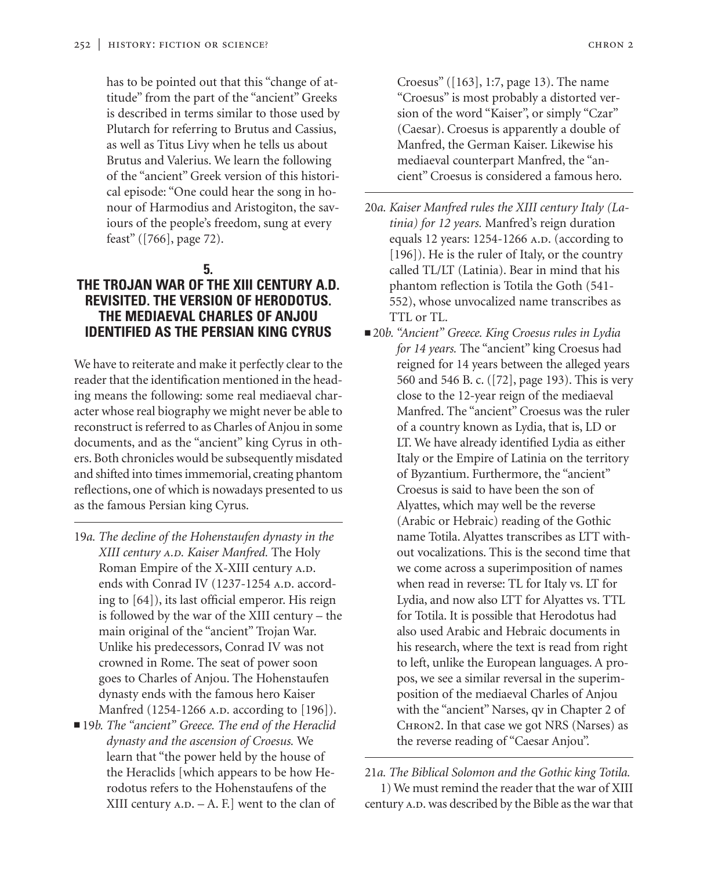has to be pointed out that this "change of attitude" from the part of the "ancient" Greeks is described in terms similar to those used by Plutarch for referring to Brutus and Cassius, as well as Titus Livy when he tells us about Brutus and Valerius. We learn the following of the "ancient" Greek version of this historical episode: "One could hear the song in honour of Harmodius and Aristogiton, the saviours of the people's freedom, sung at every feast" ([766], page 72).

#### **5.**

## **THE TROJAN WAR OF THE XIII CENTURY A.D. REVISITED. THE VERSION OF HERODOTUS. THE MEDIAEVAL CHARLES OF ANJOU IDENTIFIED AS THE PERSIAN KING CYRUS**

We have to reiterate and make it perfectly clear to the reader that the identification mentioned in the heading means the following: some real mediaeval character whose real biography we might never be able to reconstruct is referred to as Charles of Anjou in some documents, and as the "ancient" king Cyrus in others. Both chronicles would be subsequently misdated and shifted into times immemorial, creating phantom reflections, one of which is nowadays presented to us as the famous Persian king Cyrus.

- 19*a. The decline of the Hohenstaufen dynasty in the XIII century a.d. Kaiser Manfred.* The Holy Roman Empire of the X-XIII century A.D. ends with Conrad IV (1237-1254 A.D. according to [64]), its last official emperor. His reign is followed by the war of the XIII century – the main original of the "ancient" Trojan War. Unlike his predecessors, Conrad IV was not crowned in Rome. The seat of power soon goes to Charles of Anjou. The Hohenstaufen dynasty ends with the famous hero Kaiser Manfred  $(1254-1266 \text{ A.D. according to } [196])$ .
- 19*b. The "ancient" Greece. The end of the Heraclid dynasty and the ascension of Croesus.* We learn that "the power held by the house of the Heraclids [which appears to be how Herodotus refers to the Hohenstaufens of the XIII century  $A.D. - A. F.$ ] went to the clan of

Croesus" ([163], 1:7, page 13). The name "Croesus" is most probably a distorted version of the word "Kaiser", or simply "Czar" (Caesar). Croesus is apparently a double of Manfred, the German Kaiser. Likewise his mediaeval counterpart Manfred, the "ancient" Croesus is considered a famous hero.

- 20*a. Kaiser Manfred rules the XIII century Italy (Latinia) for 12 years.* Manfred's reign duration equals 12 years:  $1254-1266$  A.D. (according to [196]). He is the ruler of Italy, or the country called TL/LT (Latinia). Bear in mind that his phantom reflection is Totila the Goth (541- 552), whose unvocalized name transcribes as TTL or TL.
- 20*b. "Ancient" Greece. King Croesus rules in Lydia for 14 years.* The "ancient" king Croesus had reigned for 14 years between the alleged years 560 and 546 B. c. ([72], page 193). This is very close to the 12-year reign of the mediaeval Manfred. The "ancient" Croesus was the ruler of a country known as Lydia, that is, LD or LT. We have already identified Lydia as either Italy or the Empire of Latinia on the territory of Byzantium. Furthermore, the "ancient" Croesus is said to have been the son of Alyattes, which may well be the reverse (Arabic or Hebraic) reading of the Gothic name Totila. Alyattes transcribes as LTT without vocalizations. This is the second time that we come across a superimposition of names when read in reverse: TL for Italy vs. LT for Lydia, and now also LTT for Alyattes vs. TTL for Totila. It is possible that Herodotus had also used Arabic and Hebraic documents in his research, where the text is read from right to left, unlike the European languages. A propos, we see a similar reversal in the superimposition of the mediaeval Charles of Anjou with the "ancient" Narses, qv in Chapter 2 of CHRON2. In that case we got NRS (Narses) as the reverse reading of "Caesar Anjou".
- 21*a. The Biblical Solomon and the Gothic king Totila.*

1) We must remind the reader that the war of XIII century A.D. was described by the Bible as the war that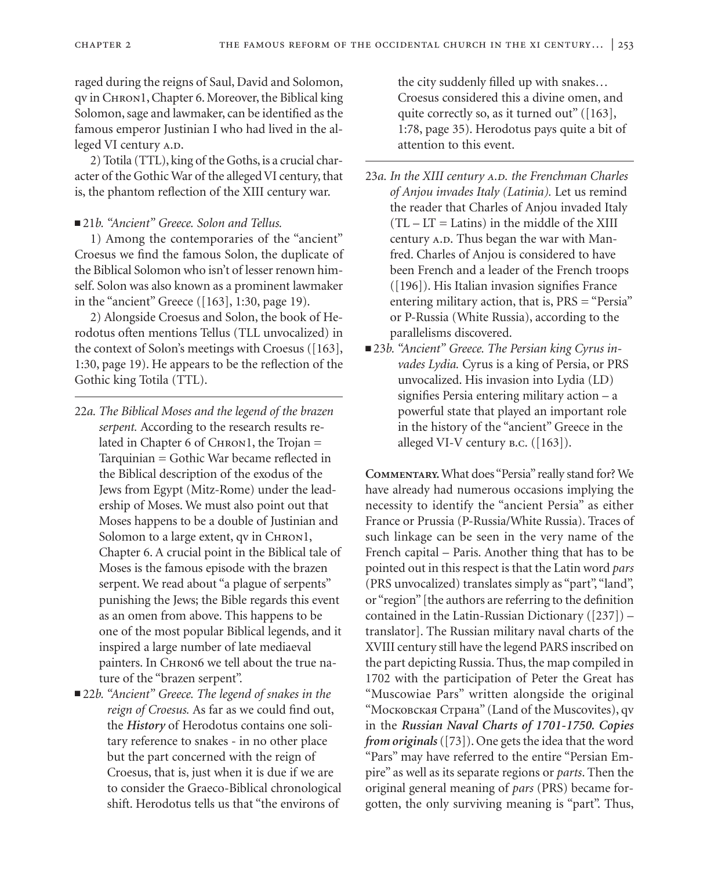raged during the reigns of Saul, David and Solomon, qv in Chron1, Chapter 6. Moreover, the Biblical king Solomon, sage and lawmaker, can be identified as the famous emperor Justinian I who had lived in the alleged VI century A.D.

2) Totila (TTL), king of the Goths, is a crucial character of the Gothic War of the alleged VI century, that is, the phantom reflection of the XIII century war.

#### ■ 21*b.* "Ancient" Greece. Solon and Tellus.

1) Among the contemporaries of the "ancient" Croesus we find the famous Solon, the duplicate of the Biblical Solomon who isn't of lesser renown himself. Solon was also known as a prominent lawmaker in the "ancient" Greece ([163], 1:30, page 19).

2) Alongside Croesus and Solon, the book of Herodotus often mentions Tellus (TLL unvocalized) in the context of Solon's meetings with Croesus ([163], 1:30, page 19). He appears to be the reflection of the Gothic king Totila (TTL).

- 22*a. The Biblical Moses and the legend of the brazen serpent.* According to the research results related in Chapter 6 of CHRON1, the Trojan = Tarquinian = Gothic War became reflected in the Biblical description of the exodus of the Jews from Egypt (Mitz-Rome) under the leadership of Moses. We must also point out that Moses happens to be a double of Justinian and Solomon to a large extent, qv in CHRON1, Chapter 6. A crucial point in the Biblical tale of Moses is the famous episode with the brazen serpent. We read about "a plague of serpents" punishing the Jews; the Bible regards this event as an omen from above. This happens to be one of the most popular Biblical legends, and it inspired a large number of late mediaeval painters. In CHRON6 we tell about the true nature of the "brazen serpent".
- 22*b. "Ancient" Greece. The legend of snakes in the reign of Croesus.* As far as we could find out, the *History* of Herodotus contains one solitary reference to snakes - in no other place but the part concerned with the reign of Croesus, that is, just when it is due if we are to consider the Graeco-Biblical chronological shift. Herodotus tells us that "the environs of

the city suddenly filled up with snakes… Croesus considered this a divine omen, and quite correctly so, as it turned out" ([163], 1:78, page 35). Herodotus pays quite a bit of attention to this event.

- 23*a. In the XIII century A.D. the Frenchman Charles of Anjou invades Italy (Latinia).* Let us remind the reader that Charles of Anjou invaded Italy  $(TL – LT = Latins)$  in the middle of the XIII century A.D. Thus began the war with Manfred. Charles of Anjou is considered to have been French and a leader of the French troops ([196]). His Italian invasion signifies France entering military action, that is, PRS = "Persia" or P-Russia (White Russia), according to the parallelisms discovered.
- 23*b.* "Ancient" Greece. The Persian king Cyrus in*vades Lydia.* Cyrus is a king of Persia, or PRS unvocalized. His invasion into Lydia (LD) signifies Persia entering military action – a powerful state that played an important role in the history of the "ancient" Greece in the alleged VI-V century b.c. ([163]).

COMMENTARY. What does "Persia" really stand for? We have already had numerous occasions implying the necessity to identify the "ancient Persia" as either France or Prussia (P-Russia/White Russia). Traces of such linkage can be seen in the very name of the French capital – Paris. Another thing that has to be pointed out in this respect is that the Latin word *pars* (PRS unvocalized) translates simply as "part", "land", or "region" [the authors are referring to the definition contained in the Latin-Russian Dictionary ([237]) – translator]. The Russian military naval charts of the XVIII century still have the legend PARS inscribed on the part depicting Russia. Thus, the map compiled in 1702 with the participation of Peter the Great has "Muscowiae Pars" written alongside the original "Московская Страна" (Land of the Muscovites), qv in the *Russian Naval Charts of 1701-1750. Copies from originals* ([73]). One gets the idea that the word "Pars" may have referred to the entire "Persian Empire" as well as its separate regions or *parts*. Then the original general meaning of *pars* (PRS) became forgotten, the only surviving meaning is "part". Thus,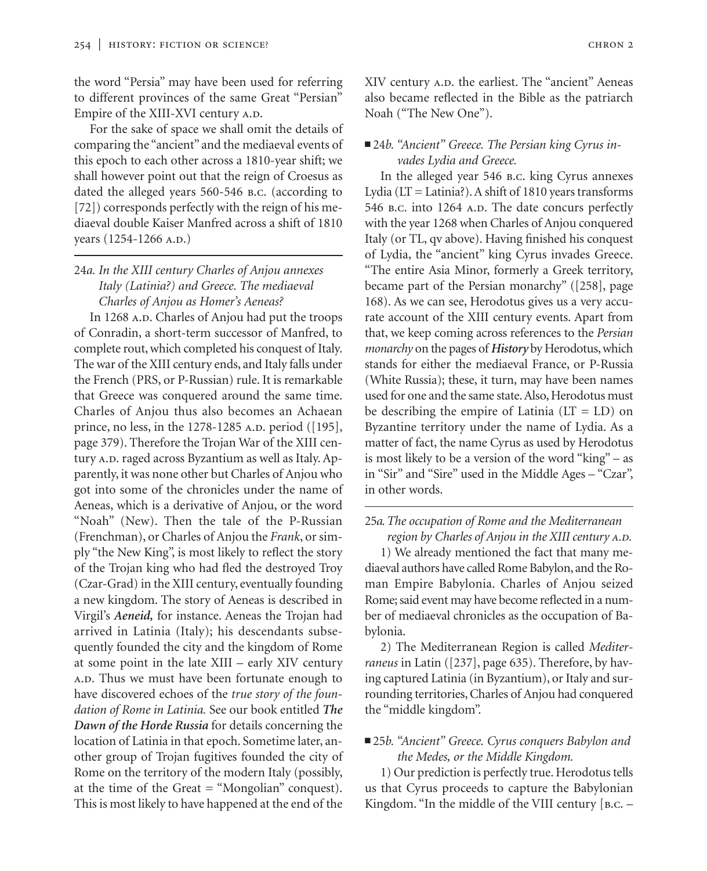the word "Persia" may have been used for referring to different provinces of the same Great "Persian" Empire of the XIII-XVI century A.D.

For the sake of space we shall omit the details of comparing the "ancient" and the mediaeval events of this epoch to each other across a 1810-year shift; we shall however point out that the reign of Croesus as dated the alleged years 560-546 b.c. (according to [72]) corresponds perfectly with the reign of his mediaeval double Kaiser Manfred across a shift of 1810 years (1254-1266 A.D.)

#### 24*a. In the XIII century Charles of Anjou annexes Italy (Latinia?) and Greece. The mediaeval Charles of Anjou as Homer's Aeneas?*

In 1268 A.D. Charles of Anjou had put the troops of Conradin, a short-term successor of Manfred, to complete rout, which completed his conquest of Italy. The war of the XIII century ends, and Italy falls under the French (PRS, or P-Russian) rule. It is remarkable that Greece was conquered around the same time. Charles of Anjou thus also becomes an Achaean prince, no less, in the  $1278-1285$  A.D. period ([195], page 379). Therefore the Trojan War of the XIII century A.D. raged across Byzantium as well as Italy. Apparently, it was none other but Charles of Anjou who got into some of the chronicles under the name of Aeneas, which is a derivative of Anjou, or the word "Noah" (New). Then the tale of the P-Russian (Frenchman), or Charles of Anjou the *Frank*, or simply "the New King", is most likely to reflect the story of the Trojan king who had fled the destroyed Troy (Czar-Grad) in the XIII century, eventually founding a new kingdom. The story of Aeneas is described in Virgil's *Aeneid,* for instance. Aeneas the Trojan had arrived in Latinia (Italy); his descendants subsequently founded the city and the kingdom of Rome at some point in the late XIII – early XIV century A.D. Thus we must have been fortunate enough to have discovered echoes of the *true story of the foundation of Rome in Latinia.* See our book entitled *The Dawn of the Horde Russia* for details concerning the location of Latinia in that epoch. Sometime later, another group of Trojan fugitives founded the city of Rome on the territory of the modern Italy (possibly, at the time of the Great = "Mongolian" conquest). This is most likely to have happened at the end of the XIV century A.D. the earliest. The "ancient" Aeneas also became reflected in the Bible as the patriarch Noah ("The New One").

#### ■ 24*b.* "Ancient" Greece. The Persian king Cyrus in*vades Lydia and Greece.*

In the alleged year 546 b.c. king Cyrus annexes Lydia (LT = Latinia?). A shift of 1810 years transforms 546 b.c. into 1264 A.D. The date concurs perfectly with the year 1268 when Charles of Anjou conquered Italy (or TL, qv above). Having finished his conquest of Lydia, the "ancient" king Cyrus invades Greece. "The entire Asia Minor, formerly a Greek territory, became part of the Persian monarchy" ([258], page 168). As we can see, Herodotus gives us a very accurate account of the XIII century events. Apart from that, we keep coming across references to the *Persian monarchy* on the pages of *History* by Herodotus, which stands for either the mediaeval France, or P-Russia (White Russia); these, it turn, may have been names used for one and the same state. Also, Herodotus must be describing the empire of Latinia  $(LT = LD)$  on Byzantine territory under the name of Lydia. As a matter of fact, the name Cyrus as used by Herodotus is most likely to be a version of the word "king" – as in "Sir" and "Sire" used in the Middle Ages – "Czar", in other words.

25*a.The occupation of Rome and the Mediterranean region by Charles of Anjou in the XIII century A.D.* 

1) We already mentioned the fact that many mediaeval authors have called Rome Babylon, and the Roman Empire Babylonia. Charles of Anjou seized Rome; said event may have become reflected in a number of mediaeval chronicles as the occupation of Babylonia.

2) The Mediterranean Region is called *Mediterraneus* in Latin ([237], page 635). Therefore, by having captured Latinia (in Byzantium), or Italy and surrounding territories, Charles of Anjou had conquered the "middle kingdom".

#### ■ 25*b. "Ancient" Greece. Cyrus conquers Babylon and the Medes, or the Middle Kingdom.*

1) Our prediction is perfectly true. Herodotus tells us that Cyrus proceeds to capture the Babylonian Kingdom. "In the middle of the VIII century  $[a.c. -$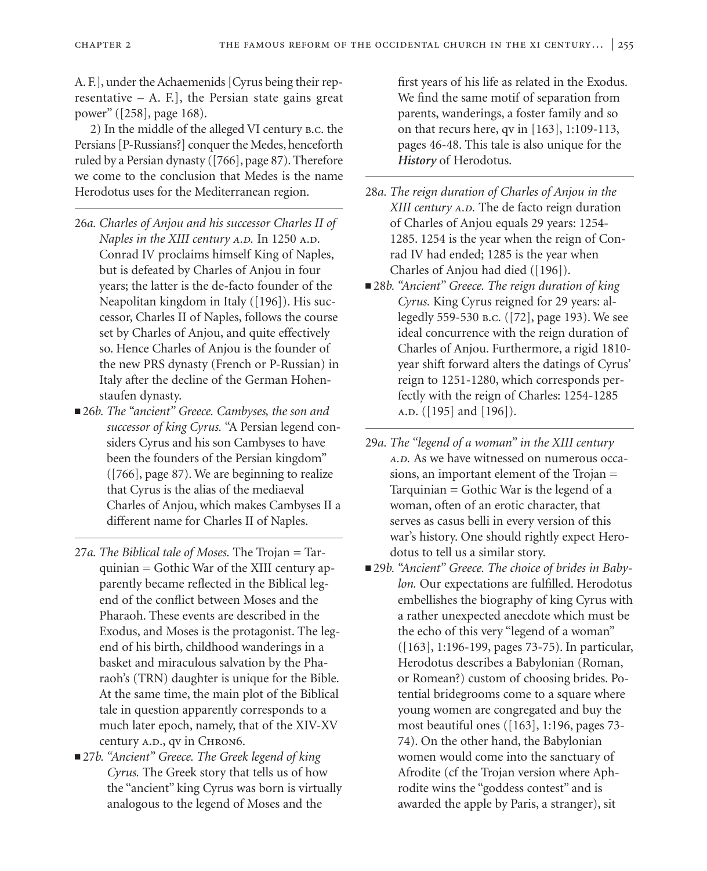A. F.], under the Achaemenids [Cyrus being their representative  $-$  A. F.], the Persian state gains great power" ([258], page 168).

2) In the middle of the alleged VI century b.c. the Persians [P-Russians?] conquer the Medes, henceforth ruled by a Persian dynasty ([766], page 87). Therefore we come to the conclusion that Medes is the name Herodotus uses for the Mediterranean region.

- 26*a. Charles of Anjou and his successor Charles II of Naples in the XIII century A.D. In 1250 A.D.* Conrad IV proclaims himself King of Naples, but is defeated by Charles of Anjou in four years; the latter is the de-facto founder of the Neapolitan kingdom in Italy ([196]). His successor, Charles II of Naples, follows the course set by Charles of Anjou, and quite effectively so. Hence Charles of Anjou is the founder of the new PRS dynasty (French or P-Russian) in Italy after the decline of the German Hohenstaufen dynasty.
- 26*b. The "ancient" Greece. Cambyses, the son and successor of king Cyrus.* "A Persian legend considers Cyrus and his son Cambyses to have been the founders of the Persian kingdom" ([766], page 87). We are beginning to realize that Cyrus is the alias of the mediaeval Charles of Anjou, which makes Cambyses II a different name for Charles II of Naples.
- 27*a. The Biblical tale of Moses.* The Trojan = Tarquinian = Gothic War of the XIII century apparently became reflected in the Biblical legend of the conflict between Moses and the Pharaoh. These events are described in the Exodus, and Moses is the protagonist. The legend of his birth, childhood wanderings in a basket and miraculous salvation by the Pharaoh's (TRN) daughter is unique for the Bible. At the same time, the main plot of the Biblical tale in question apparently corresponds to a much later epoch, namely, that of the XIV-XV century A.D., qv in CHRON6.
- 27*b.* "Ancient" Greece. The Greek legend of king *Cyrus.* The Greek story that tells us of how the "ancient" king Cyrus was born is virtually analogous to the legend of Moses and the

first years of his life as related in the Exodus. We find the same motif of separation from parents, wanderings, a foster family and so on that recurs here, qv in [163], 1:109-113, pages 46-48. This tale is also unique for the *History* of Herodotus.

- 28*a. The reign duration of Charles of Anjou in the XIII century A.D.* The de facto reign duration of Charles of Anjou equals 29 years: 1254- 1285. 1254 is the year when the reign of Conrad IV had ended; 1285 is the year when Charles of Anjou had died ([196]).
- 28*b. "Ancient" Greece. The reign duration of king Cyrus.* King Cyrus reigned for 29 years: allegedly 559-530 b.c. ([72], page 193). We see ideal concurrence with the reign duration of Charles of Anjou. Furthermore, a rigid 1810 year shift forward alters the datings of Cyrus' reign to 1251-1280, which corresponds perfectly with the reign of Charles: 1254-1285 A.D. ([195] and [196]).
- 29*a. The "legend of a woman" in the XIII century a.d.* As we have witnessed on numerous occasions, an important element of the Trojan = Tarquinian = Gothic War is the legend of a woman, often of an erotic character, that serves as casus belli in every version of this war's history. One should rightly expect Herodotus to tell us a similar story.
- 29*b. "Ancient" Greece. The choice of brides in Babylon.* Our expectations are fulfilled. Herodotus embellishes the biography of king Cyrus with a rather unexpected anecdote which must be the echo of this very "legend of a woman" ([163], 1:196-199, pages 73-75). In particular, Herodotus describes a Babylonian (Roman, or Romean?) custom of choosing brides. Potential bridegrooms come to a square where young women are congregated and buy the most beautiful ones ([163], 1:196, pages 73- 74). On the other hand, the Babylonian women would come into the sanctuary of Afrodite (cf the Trojan version where Aphrodite wins the "goddess contest" and is awarded the apple by Paris, a stranger), sit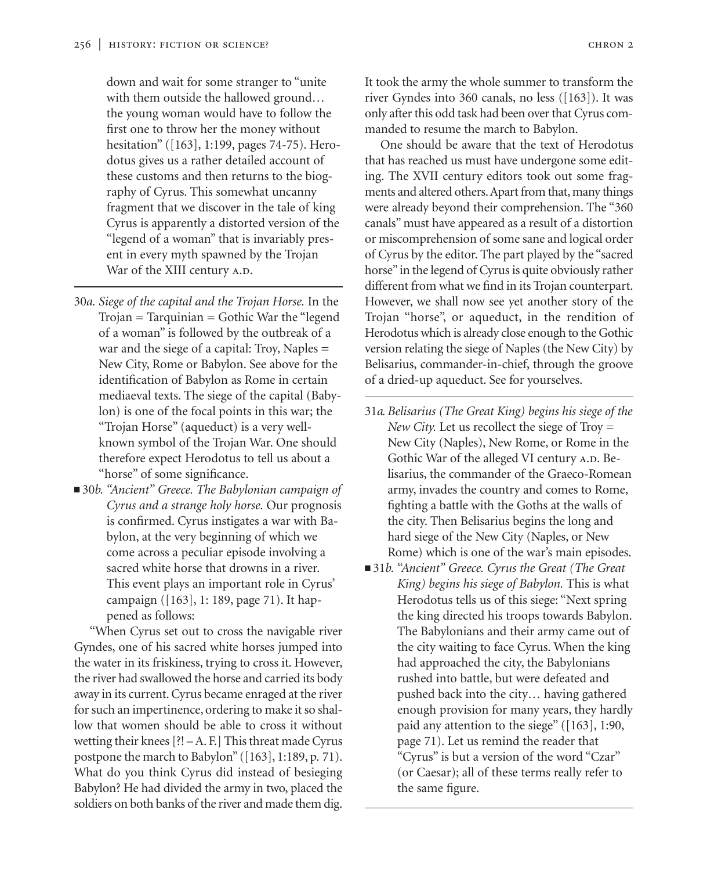down and wait for some stranger to "unite with them outside the hallowed ground… the young woman would have to follow the first one to throw her the money without hesitation" ([163], 1:199, pages 74-75). Herodotus gives us a rather detailed account of these customs and then returns to the biography of Cyrus. This somewhat uncanny fragment that we discover in the tale of king Cyrus is apparently a distorted version of the "legend of a woman" that is invariably present in every myth spawned by the Trojan War of the XIII century A.D.

- 30*a. Siege of the capital and the Trojan Horse.* In the Trojan = Tarquinian = Gothic War the "legend of a woman" is followed by the outbreak of a war and the siege of a capital: Troy, Naples = New City, Rome or Babylon. See above for the identification of Babylon as Rome in certain mediaeval texts. The siege of the capital (Babylon) is one of the focal points in this war; the "Trojan Horse" (aqueduct) is a very wellknown symbol of the Trojan War. One should therefore expect Herodotus to tell us about a "horse" of some significance.
- 30*b. "Ancient" Greece. The Babylonian campaign of Cyrus and a strange holy horse.* Our prognosis is confirmed. Cyrus instigates a war with Babylon, at the very beginning of which we come across a peculiar episode involving a sacred white horse that drowns in a river. This event plays an important role in Cyrus' campaign ([163], 1: 189, page 71). It happened as follows:

"When Cyrus set out to cross the navigable river Gyndes, one of his sacred white horses jumped into the water in its friskiness, trying to cross it. However, the river had swallowed the horse and carried its body away in its current. Cyrus became enraged at the river for such an impertinence, ordering to make it so shallow that women should be able to cross it without wetting their knees [?! – A. F.] This threat made Cyrus postpone the march to Babylon" ([163], 1:189, p. 71). What do you think Cyrus did instead of besieging Babylon? He had divided the army in two, placed the soldiers on both banks of the river and made them dig.

It took the army the whole summer to transform the river Gyndes into 360 canals, no less ([163]). It was only after this odd task had been over that Cyrus commanded to resume the march to Babylon.

One should be aware that the text of Herodotus that has reached us must have undergone some editing. The XVII century editors took out some fragments and altered others.Apart from that, many things were already beyond their comprehension. The "360 canals" must have appeared as a result of a distortion or miscomprehension of some sane and logical order of Cyrus by the editor. The part played by the "sacred horse" in the legend of Cyrus is quite obviously rather different from what we find in its Trojan counterpart. However, we shall now see yet another story of the Trojan "horse", or aqueduct, in the rendition of Herodotus which is already close enough to the Gothic version relating the siege of Naples (the New City) by Belisarius, commander-in-chief, through the groove of a dried-up aqueduct. See for yourselves.

- 31*a.Belisarius (The Great King) begins his siege of the New City.* Let us recollect the siege of Troy = New City (Naples), New Rome, or Rome in the Gothic War of the alleged VI century A.D. Belisarius, the commander of the Graeco-Romean army, invades the country and comes to Rome, fighting a battle with the Goths at the walls of the city. Then Belisarius begins the long and hard siege of the New City (Naples, or New Rome) which is one of the war's main episodes.
- 31*b. "Ancient" Greece. Cyrus the Great (The Great King) begins his siege of Babylon.* This is what Herodotus tells us of this siege: "Next spring the king directed his troops towards Babylon. The Babylonians and their army came out of the city waiting to face Cyrus. When the king had approached the city, the Babylonians rushed into battle, but were defeated and pushed back into the city… having gathered enough provision for many years, they hardly paid any attention to the siege" ([163], 1:90, page 71). Let us remind the reader that "Cyrus" is but a version of the word "Czar" (or Caesar); all of these terms really refer to the same figure.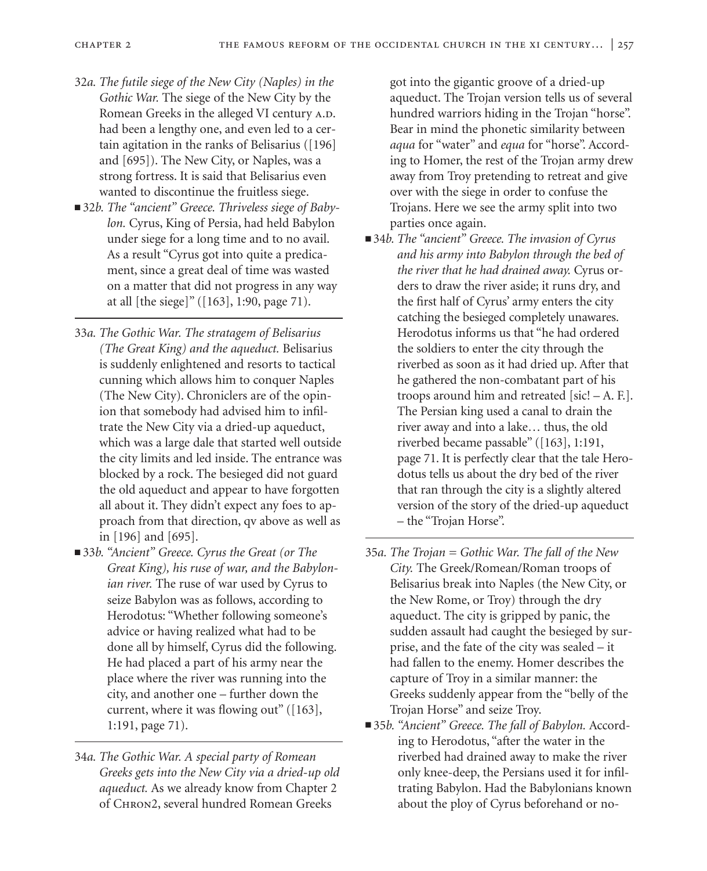- 
- 32*a. The futile siege of the New City (Naples) in the Gothic War.* The siege of the New City by the Romean Greeks in the alleged VI century A.D. had been a lengthy one, and even led to a certain agitation in the ranks of Belisarius ([196] and [695]). The New City, or Naples, was a strong fortress. It is said that Belisarius even wanted to discontinue the fruitless siege.
- 32*b. The "ancient" Greece. Thriveless siege of Babylon.* Cyrus, King of Persia, had held Babylon under siege for a long time and to no avail. As a result "Cyrus got into quite a predicament, since a great deal of time was wasted on a matter that did not progress in any way at all [the siege]" ([163], 1:90, page 71).
- 33*a. The Gothic War. The stratagem of Belisarius (The Great King) and the aqueduct.* Belisarius is suddenly enlightened and resorts to tactical cunning which allows him to conquer Naples (The New City). Chroniclers are of the opinion that somebody had advised him to infiltrate the New City via a dried-up aqueduct, which was a large dale that started well outside the city limits and led inside. The entrance was blocked by a rock. The besieged did not guard the old aqueduct and appear to have forgotten all about it. They didn't expect any foes to approach from that direction, qv above as well as in [196] and [695].
- 33*b. "Ancient" Greece. Cyrus the Great (or The Great King), his ruse of war, and the Babylonian river.* The ruse of war used by Cyrus to seize Babylon was as follows, according to Herodotus: "Whether following someone's advice or having realized what had to be done all by himself, Cyrus did the following. He had placed a part of his army near the place where the river was running into the city, and another one – further down the current, where it was flowing out" ([163], 1:191, page 71).
- 34*a. The Gothic War. A special party of Romean Greeks gets into the New City via a dried-up old aqueduct.* As we already know from Chapter 2 of Chron2, several hundred Romean Greeks

got into the gigantic groove of a dried-up aqueduct. The Trojan version tells us of several hundred warriors hiding in the Trojan "horse". Bear in mind the phonetic similarity between *aqua* for "water" and *equa* for "horse". According to Homer, the rest of the Trojan army drew away from Troy pretending to retreat and give over with the siege in order to confuse the Trojans. Here we see the army split into two parties once again.

- 34*b. The "ancient" Greece. The invasion of Cyrus and his army into Babylon through the bed of the river that he had drained away.* Cyrus orders to draw the river aside; it runs dry, and the first half of Cyrus' army enters the city catching the besieged completely unawares. Herodotus informs us that "he had ordered the soldiers to enter the city through the riverbed as soon as it had dried up. After that he gathered the non-combatant part of his troops around him and retreated  $[sic! - A, F.]$ . The Persian king used a canal to drain the river away and into a lake… thus, the old riverbed became passable" ([163], 1:191, page 71. It is perfectly clear that the tale Herodotus tells us about the dry bed of the river that ran through the city is a slightly altered version of the story of the dried-up aqueduct – the "Trojan Horse".
- 35*a. The Trojan = Gothic War. The fall of the New City.* The Greek/Romean/Roman troops of Belisarius break into Naples (the New City, or the New Rome, or Troy) through the dry aqueduct. The city is gripped by panic, the sudden assault had caught the besieged by surprise, and the fate of the city was sealed – it had fallen to the enemy. Homer describes the capture of Troy in a similar manner: the Greeks suddenly appear from the "belly of the Trojan Horse" and seize Troy.
- 35*b.* "Ancient" Greece. The fall of Babylon. According to Herodotus, "after the water in the riverbed had drained away to make the river only knee-deep, the Persians used it for infiltrating Babylon. Had the Babylonians known about the ploy of Cyrus beforehand or no-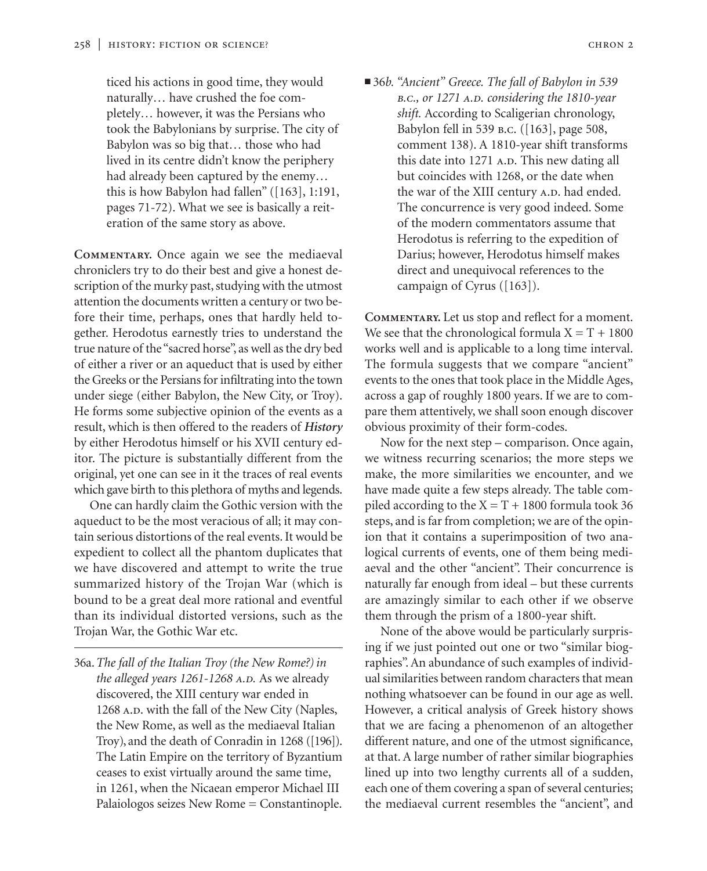ticed his actions in good time, they would naturally… have crushed the foe completely… however, it was the Persians who took the Babylonians by surprise. The city of Babylon was so big that… those who had lived in its centre didn't know the periphery had already been captured by the enemy… this is how Babylon had fallen" ([163], 1:191, pages 71-72). What we see is basically a reiteration of the same story as above.

**Commentary.** Once again we see the mediaeval chroniclers try to do their best and give a honest description of the murky past, studying with the utmost attention the documents written a century or two before their time, perhaps, ones that hardly held together. Herodotus earnestly tries to understand the true nature of the "sacred horse", as well as the dry bed of either a river or an aqueduct that is used by either the Greeks or the Persians for infiltrating into the town under siege (either Babylon, the New City, or Troy). He forms some subjective opinion of the events as a result, which is then offered to the readers of *History* by either Herodotus himself or his XVII century editor. The picture is substantially different from the original, yet one can see in it the traces of real events which gave birth to this plethora of myths and legends.

One can hardly claim the Gothic version with the aqueduct to be the most veracious of all; it may contain serious distortions of the real events. It would be expedient to collect all the phantom duplicates that we have discovered and attempt to write the true summarized history of the Trojan War (which is bound to be a great deal more rational and eventful than its individual distorted versions, such as the Trojan War, the Gothic War etc.

36a.*The fall of the Italian Troy (the New Rome?) in* the alleged years 1261-1268 A.D. As we already discovered, the XIII century war ended in 1268 A.D. with the fall of the New City (Naples, the New Rome, as well as the mediaeval Italian Troy), and the death of Conradin in 1268 ([196]). The Latin Empire on the territory of Byzantium ceases to exist virtually around the same time, in 1261, when the Nicaean emperor Michael III Palaiologos seizes New Rome = Constantinople.

■ 36*b. "Ancient" Greece. The fall of Babylon in 539 b.c., or 1271 A.D. considering the 1810-year shift.* According to Scaligerian chronology, Babylon fell in 539 b.c. ([163], page 508, comment 138). A 1810-year shift transforms this date into 1271 A.D. This new dating all but coincides with 1268, or the date when the war of the XIII century A.D. had ended. The concurrence is very good indeed. Some of the modern commentators assume that Herodotus is referring to the expedition of Darius; however, Herodotus himself makes direct and unequivocal references to the campaign of Cyrus ([163]).

**Commentary.** Let us stop and reflect for a moment. We see that the chronological formula  $X = T + 1800$ works well and is applicable to a long time interval. The formula suggests that we compare "ancient" events to the ones that took place in the Middle Ages, across a gap of roughly 1800 years. If we are to compare them attentively, we shall soon enough discover obvious proximity of their form-codes.

Now for the next step – comparison. Once again, we witness recurring scenarios; the more steps we make, the more similarities we encounter, and we have made quite a few steps already. The table compiled according to the  $X = T + 1800$  formula took 36 steps, and is far from completion; we are of the opinion that it contains a superimposition of two analogical currents of events, one of them being mediaeval and the other "ancient". Their concurrence is naturally far enough from ideal – but these currents are amazingly similar to each other if we observe them through the prism of a 1800-year shift.

None of the above would be particularly surprising if we just pointed out one or two "similar biographies". An abundance of such examples of individual similarities between random characters that mean nothing whatsoever can be found in our age as well. However, a critical analysis of Greek history shows that we are facing a phenomenon of an altogether different nature, and one of the utmost significance, at that. A large number of rather similar biographies lined up into two lengthy currents all of a sudden, each one of them covering a span of several centuries; the mediaeval current resembles the "ancient", and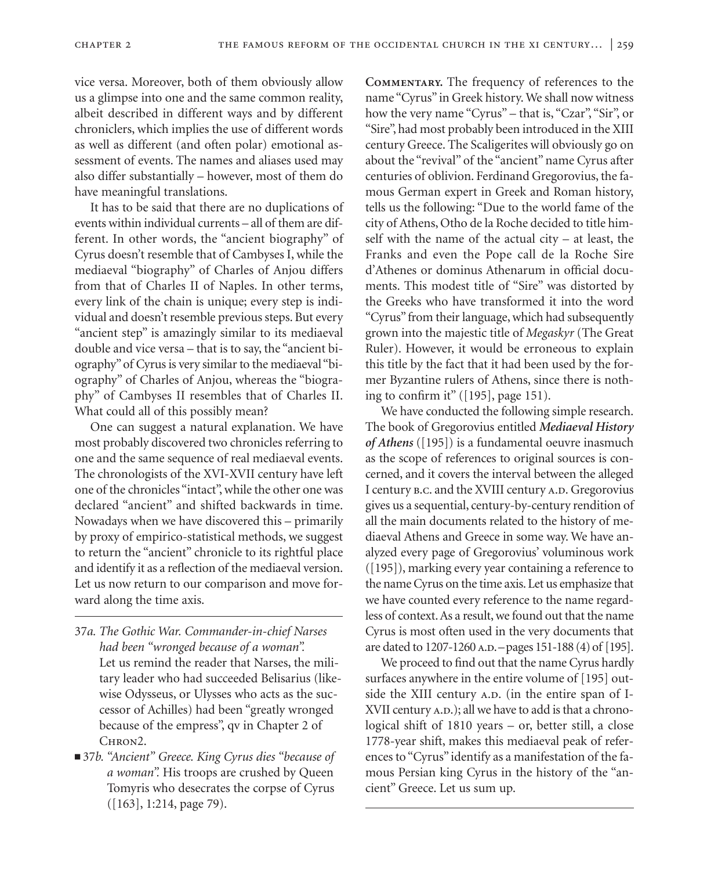vice versa. Moreover, both of them obviously allow us a glimpse into one and the same common reality, albeit described in different ways and by different chroniclers, which implies the use of different words as well as different (and often polar) emotional assessment of events. The names and aliases used may also differ substantially – however, most of them do have meaningful translations.

It has to be said that there are no duplications of events within individual currents – all of them are different. In other words, the "ancient biography" of Cyrus doesn't resemble that of Cambyses I, while the mediaeval "biography" of Charles of Anjou differs from that of Charles II of Naples. In other terms, every link of the chain is unique; every step is individual and doesn't resemble previous steps. But every "ancient step" is amazingly similar to its mediaeval double and vice versa – that is to say, the "ancient biography" of Cyrus is very similar to the mediaeval "biography" of Charles of Anjou, whereas the "biography" of Cambyses II resembles that of Charles II. What could all of this possibly mean?

One can suggest a natural explanation. We have most probably discovered two chronicles referring to one and the same sequence of real mediaeval events. The chronologists of the XVI-XVII century have left one of the chronicles "intact", while the other one was declared "ancient" and shifted backwards in time. Nowadays when we have discovered this – primarily by proxy of empirico-statistical methods, we suggest to return the "ancient" chronicle to its rightful place and identify it as a reflection of the mediaeval version. Let us now return to our comparison and move forward along the time axis.

- 37*a. The Gothic War. Commander-in-chief Narses had been "wronged because of a woman".* Let us remind the reader that Narses, the military leader who had succeeded Belisarius (likewise Odysseus, or Ulysses who acts as the successor of Achilles) had been "greatly wronged because of the empress", qv in Chapter 2 of CHRON<sub>2</sub>.
- 37*b. "Ancient" Greece. King Cyrus dies "because of a woman".* His troops are crushed by Queen Tomyris who desecrates the corpse of Cyrus ([163], 1:214, page 79).

**Commentary.** The frequency of references to the name "Cyrus" in Greek history. We shall now witness how the very name "Cyrus" – that is, "Czar", "Sir", or "Sire", had most probably been introduced in the XIII century Greece. The Scaligerites will obviously go on about the "revival" of the "ancient" name Cyrus after centuries of oblivion. Ferdinand Gregorovius, the famous German expert in Greek and Roman history, tells us the following: "Due to the world fame of the city of Athens, Otho de la Roche decided to title himself with the name of the actual city – at least, the Franks and even the Pope call de la Roche Sire d'Athenes or dominus Athenarum in official documents. This modest title of "Sire" was distorted by the Greeks who have transformed it into the word "Cyrus" from their language, which had subsequently grown into the majestic title of *Megaskyr* (The Great Ruler). However, it would be erroneous to explain this title by the fact that it had been used by the former Byzantine rulers of Athens, since there is nothing to confirm it" ([195], page 151).

We have conducted the following simple research. The book of Gregorovius entitled *Mediaeval History of Athens* ([195]) is a fundamental oeuvre inasmuch as the scope of references to original sources is concerned, and it covers the interval between the alleged I century B.C. and the XVIII century A.D. Gregorovius gives us a sequential, century-by-century rendition of all the main documents related to the history of mediaeval Athens and Greece in some way. We have analyzed every page of Gregorovius' voluminous work ([195]), marking every year containing a reference to the name Cyrus on the time axis. Let us emphasize that we have counted every reference to the name regardless of context. As a result, we found out that the name Cyrus is most often used in the very documents that are dated to 1207-1260 A.D. – pages 151-188 (4) of [195].

We proceed to find out that the name Cyrus hardly surfaces anywhere in the entire volume of [195] outside the XIII century A.D. (in the entire span of I-XVII century A.D.); all we have to add is that a chronological shift of 1810 years – or, better still, a close 1778-year shift, makes this mediaeval peak of references to "Cyrus" identify as a manifestation of the famous Persian king Cyrus in the history of the "ancient" Greece. Let us sum up.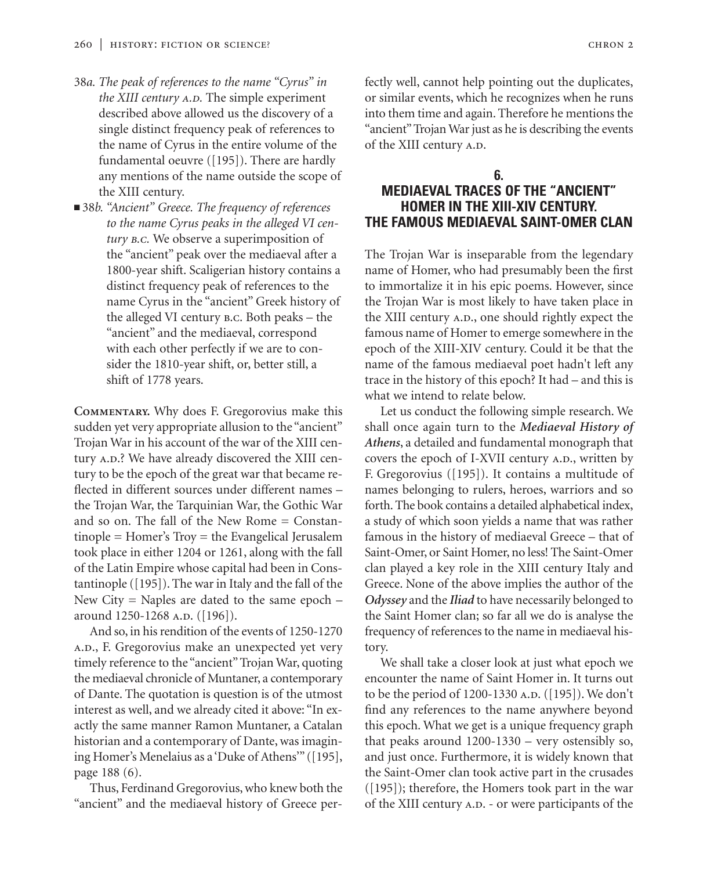- 38*a. The peak of references to the name "Cyrus" in the XIII century A.D.* The simple experiment described above allowed us the discovery of a single distinct frequency peak of references to the name of Cyrus in the entire volume of the fundamental oeuvre ([195]). There are hardly any mentions of the name outside the scope of the XIII century.
- 38*b. "Ancient" Greece. The frequency of references to the name Cyrus peaks in the alleged VI century b.c.* We observe a superimposition of the "ancient" peak over the mediaeval after a 1800-year shift. Scaligerian history contains a distinct frequency peak of references to the name Cyrus in the "ancient" Greek history of the alleged VI century b.c. Both peaks – the "ancient" and the mediaeval, correspond with each other perfectly if we are to consider the 1810-year shift, or, better still, a shift of 1778 years.

**Commentary.** Why does F. Gregorovius make this sudden yet very appropriate allusion to the "ancient" Trojan War in his account of the war of the XIII century A.D.? We have already discovered the XIII century to be the epoch of the great war that became reflected in different sources under different names – the Trojan War, the Tarquinian War, the Gothic War and so on. The fall of the New Rome = Constantinople = Homer's Troy = the Evangelical Jerusalem took place in either 1204 or 1261, along with the fall of the Latin Empire whose capital had been in Constantinople ([195]). The war in Italy and the fall of the New City = Naples are dated to the same epoch – around 1250-1268 A.D. ([196]).

And so, in his rendition of the events of 1250-1270 A.D., F. Gregorovius make an unexpected yet very timely reference to the "ancient" Trojan War, quoting the mediaeval chronicle of Muntaner, a contemporary of Dante. The quotation is question is of the utmost interest as well, and we already cited it above: "In exactly the same manner Ramon Muntaner, a Catalan historian and a contemporary of Dante, was imagining Homer's Menelaius as a 'Duke of Athens'" ([195], page 188 (6).

Thus, Ferdinand Gregorovius, who knew both the "ancient" and the mediaeval history of Greece per-

fectly well, cannot help pointing out the duplicates, or similar events, which he recognizes when he runs into them time and again. Therefore he mentions the "ancient"Trojan War just as he is describing the events of the XIII century A.D.

## **6.**

# **MEDIAEVAL TRACES OF THE "ANCIENT" HOMER IN THE XIII-XIV CENTURY. THE FAMOUS MEDIAEVAL SAINT-OMER CLAN**

The Trojan War is inseparable from the legendary name of Homer, who had presumably been the first to immortalize it in his epic poems. However, since the Trojan War is most likely to have taken place in the XIII century A.D., one should rightly expect the famous name of Homer to emerge somewhere in the epoch of the XIII-XIV century. Could it be that the name of the famous mediaeval poet hadn't left any trace in the history of this epoch? It had – and this is what we intend to relate below.

Let us conduct the following simple research. We shall once again turn to the *Mediaeval History of Athens*, a detailed and fundamental monograph that covers the epoch of I-XVII century A.D., written by F. Gregorovius ([195]). It contains a multitude of names belonging to rulers, heroes, warriors and so forth. The book contains a detailed alphabetical index, a study of which soon yields a name that was rather famous in the history of mediaeval Greece – that of Saint-Omer, or Saint Homer, no less! The Saint-Omer clan played a key role in the XIII century Italy and Greece. None of the above implies the author of the *Odyssey* and the *Iliad* to have necessarily belonged to the Saint Homer clan; so far all we do is analyse the frequency of references to the name in mediaeval history.

We shall take a closer look at just what epoch we encounter the name of Saint Homer in. It turns out to be the period of 1200-1330  $A.D.$  ([195]). We don't find any references to the name anywhere beyond this epoch. What we get is a unique frequency graph that peaks around 1200-1330 – very ostensibly so, and just once. Furthermore, it is widely known that the Saint-Omer clan took active part in the crusades ([195]); therefore, the Homers took part in the war of the XIII century A.D. - or were participants of the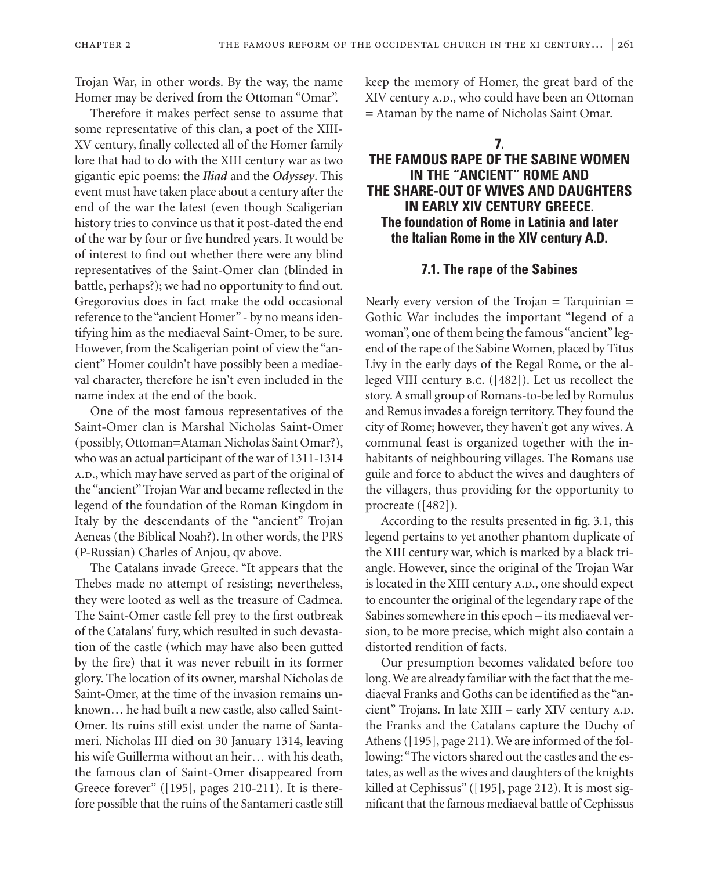Trojan War, in other words. By the way, the name Homer may be derived from the Ottoman "Omar".

Therefore it makes perfect sense to assume that some representative of this clan, a poet of the XIII-XV century, finally collected all of the Homer family lore that had to do with the XIII century war as two gigantic epic poems: the *Iliad* and the *Odyssey*. This event must have taken place about a century after the end of the war the latest (even though Scaligerian history tries to convince us that it post-dated the end of the war by four or five hundred years. It would be of interest to find out whether there were any blind representatives of the Saint-Omer clan (blinded in battle, perhaps?); we had no opportunity to find out. Gregorovius does in fact make the odd occasional reference to the "ancient Homer" - by no means identifying him as the mediaeval Saint-Omer, to be sure. However, from the Scaligerian point of view the "ancient" Homer couldn't have possibly been a mediaeval character, therefore he isn't even included in the name index at the end of the book.

One of the most famous representatives of the Saint-Omer clan is Marshal Nicholas Saint-Omer (possibly, Ottoman=Ataman Nicholas Saint Omar?), who was an actual participant of the war of 1311-1314 A.D., which may have served as part of the original of the "ancient" Trojan War and became reflected in the legend of the foundation of the Roman Kingdom in Italy by the descendants of the "ancient" Trojan Aeneas (the Biblical Noah?). In other words, the PRS (P-Russian) Charles of Anjou, qv above.

The Catalans invade Greece. "It appears that the Thebes made no attempt of resisting; nevertheless, they were looted as well as the treasure of Cadmea. The Saint-Omer castle fell prey to the first outbreak of the Catalans' fury, which resulted in such devastation of the castle (which may have also been gutted by the fire) that it was never rebuilt in its former glory. The location of its owner, marshal Nicholas de Saint-Omer, at the time of the invasion remains unknown… he had built a new castle, also called Saint-Omer. Its ruins still exist under the name of Santameri. Nicholas III died on 30 January 1314, leaving his wife Guillerma without an heir… with his death, the famous clan of Saint-Omer disappeared from Greece forever" ([195], pages 210-211). It is therefore possible that the ruins of the Santameri castle still

keep the memory of Homer, the great bard of the XIV century A.D., who could have been an Ottoman = Ataman by the name of Nicholas Saint Omar.

#### **7.**

## **THE FAMOUS RAPE OF THE SABINE WOMEN IN THE "ANCIENT" ROME AND THE SHARE-OUT OF WIVES AND DAUGHTERS IN EARLY XIV CENTURY GREECE. The foundation of Rome in Latinia and later the Italian Rome in the XIV century A.D.**

#### **7.1. The rape of the Sabines**

Nearly every version of the Trojan  $=$  Tarquinian  $=$ Gothic War includes the important "legend of a woman", one of them being the famous "ancient" legend of the rape of the Sabine Women, placed by Titus Livy in the early days of the Regal Rome, or the alleged VIII century b.c. ([482]). Let us recollect the story. A small group of Romans-to-be led by Romulus and Remus invades a foreign territory. They found the city of Rome; however, they haven't got any wives. A communal feast is organized together with the inhabitants of neighbouring villages. The Romans use guile and force to abduct the wives and daughters of the villagers, thus providing for the opportunity to procreate ([482]).

According to the results presented in fig. 3.1, this legend pertains to yet another phantom duplicate of the XIII century war, which is marked by a black triangle. However, since the original of the Trojan War is located in the XIII century A.D., one should expect to encounter the original of the legendary rape of the Sabines somewhere in this epoch – its mediaeval version, to be more precise, which might also contain a distorted rendition of facts.

Our presumption becomes validated before too long. We are already familiar with the fact that the mediaeval Franks and Goths can be identified as the "ancient" Trojans. In late XIII – early XIV century A.D. the Franks and the Catalans capture the Duchy of Athens ([195], page 211). We are informed of the following:"The victors shared out the castles and the estates, as well as the wives and daughters of the knights killed at Cephissus" ([195], page 212). It is most significant that the famous mediaeval battle of Cephissus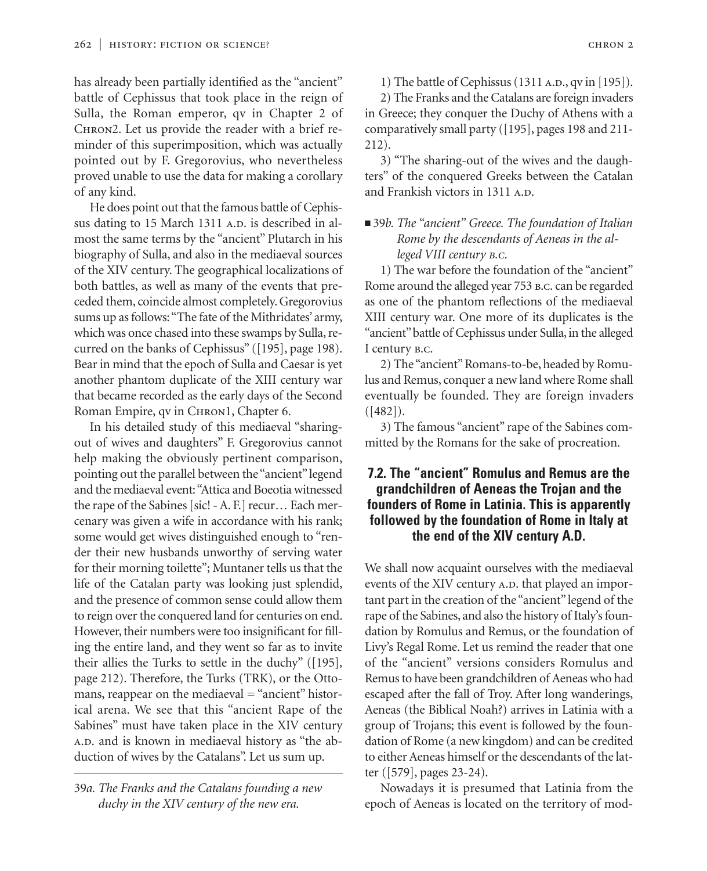has already been partially identified as the "ancient" battle of Cephissus that took place in the reign of Sulla, the Roman emperor, qv in Chapter 2 of CHRON2. Let us provide the reader with a brief reminder of this superimposition, which was actually pointed out by F. Gregorovius, who nevertheless proved unable to use the data for making a corollary of any kind.

He does point out that the famous battle of Cephissus dating to 15 March 1311 A.D. is described in almost the same terms by the "ancient" Plutarch in his biography of Sulla, and also in the mediaeval sources of the XIV century. The geographical localizations of both battles, as well as many of the events that preceded them, coincide almost completely. Gregorovius sums up as follows:"The fate of the Mithridates' army, which was once chased into these swamps by Sulla, recurred on the banks of Cephissus" ([195], page 198). Bear in mind that the epoch of Sulla and Caesar is yet another phantom duplicate of the XIII century war that became recorded as the early days of the Second Roman Empire, qv in CHRON1, Chapter 6.

In his detailed study of this mediaeval "sharingout of wives and daughters" F. Gregorovius cannot help making the obviously pertinent comparison, pointing out the parallel between the "ancient" legend and the mediaeval event:"Attica and Boeotia witnessed the rape of the Sabines [sic! - A. F.] recur… Each mercenary was given a wife in accordance with his rank; some would get wives distinguished enough to "render their new husbands unworthy of serving water for their morning toilette"; Muntaner tells us that the life of the Catalan party was looking just splendid, and the presence of common sense could allow them to reign over the conquered land for centuries on end. However, their numbers were too insignificant for filling the entire land, and they went so far as to invite their allies the Turks to settle in the duchy" ([195], page 212). Therefore, the Turks (TRK), or the Ottomans, reappear on the mediaeval = "ancient" historical arena. We see that this "ancient Rape of the Sabines" must have taken place in the XIV century A.D. and is known in mediaeval history as "the abduction of wives by the Catalans". Let us sum up.

1) The battle of Cephissus  $(1311 \text{ A.D.}, \text{qv in } [195])$ .

2) The Franks and the Catalans are foreign invaders in Greece; they conquer the Duchy of Athens with a comparatively small party ([195], pages 198 and 211- 212).

3) "The sharing-out of the wives and the daughters" of the conquered Greeks between the Catalan and Frankish victors in 1311 A.D.

#### ■ 39*b. The "ancient" Greece. The foundation of Italian Rome by the descendants of Aeneas in the alleged VIII century b.c.*

1) The war before the foundation of the "ancient" Rome around the alleged year 753 b.c. can be regarded as one of the phantom reflections of the mediaeval XIII century war. One more of its duplicates is the "ancient"battle of Cephissus under Sulla, in the alleged I century b.c.

2) The "ancient" Romans-to-be, headed by Romulus and Remus, conquer a new land where Rome shall eventually be founded. They are foreign invaders ([482]).

3) The famous "ancient" rape of the Sabines committed by the Romans for the sake of procreation.

## **7.2. The "ancient" Romulus and Remus are the grandchildren of Aeneas the Trojan and the founders of Rome in Latinia. This is apparently followed by the foundation of Rome in Italy at the end of the XIV century A.D.**

We shall now acquaint ourselves with the mediaeval events of the XIV century A.D. that played an important part in the creation of the "ancient" legend of the rape of the Sabines, and also the history of Italy's foundation by Romulus and Remus, or the foundation of Livy's Regal Rome. Let us remind the reader that one of the "ancient" versions considers Romulus and Remus to have been grandchildren of Aeneas who had escaped after the fall of Troy. After long wanderings, Aeneas (the Biblical Noah?) arrives in Latinia with a group of Trojans; this event is followed by the foundation of Rome (a new kingdom) and can be credited to either Aeneas himself or the descendants of the latter ([579], pages 23-24).

Nowadays it is presumed that Latinia from the epoch of Aeneas is located on the territory of mod-

<sup>39</sup>*a. The Franks and the Catalans founding a new duchy in the XIV century of the new era.*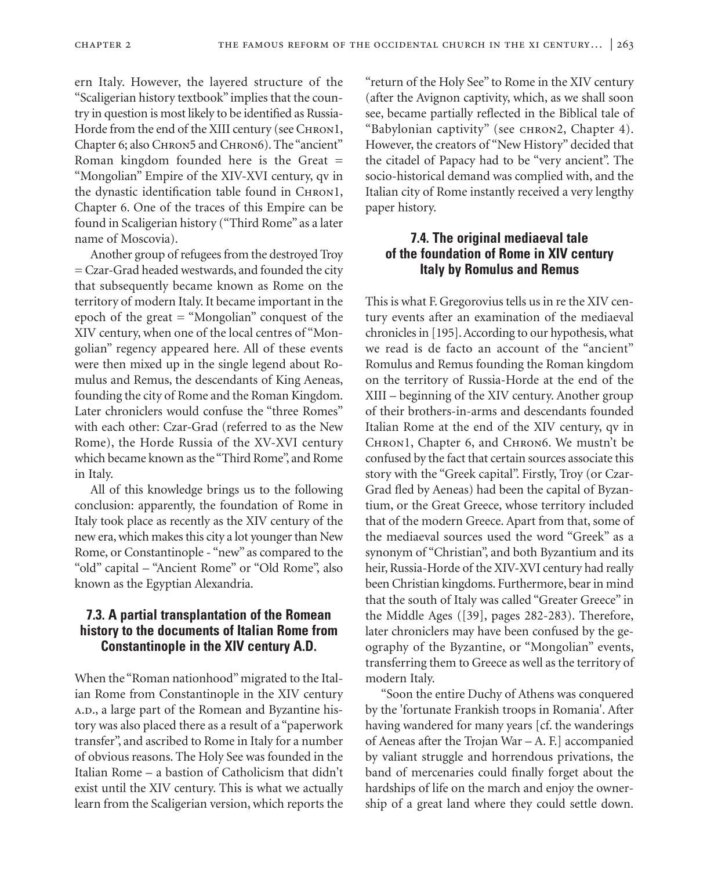ern Italy. However, the layered structure of the "Scaligerian history textbook" implies that the country in question is most likely to be identified as Russia-Horde from the end of the XIII century (see CHRON1, Chapter 6; also CHRON5 and CHRON6). The "ancient" Roman kingdom founded here is the Great = "Mongolian" Empire of the XIV-XVI century, qv in the dynastic identification table found in CHRON1, Chapter 6. One of the traces of this Empire can be found in Scaligerian history ("Third Rome" as a later name of Moscovia).

Another group of refugees from the destroyed Troy = Czar-Grad headed westwards, and founded the city that subsequently became known as Rome on the territory of modern Italy. It became important in the epoch of the great = "Mongolian" conquest of the XIV century, when one of the local centres of "Mongolian" regency appeared here. All of these events were then mixed up in the single legend about Romulus and Remus, the descendants of King Aeneas, founding the city of Rome and the Roman Kingdom. Later chroniclers would confuse the "three Romes" with each other: Czar-Grad (referred to as the New Rome), the Horde Russia of the XV-XVI century which became known as the "Third Rome", and Rome in Italy.

All of this knowledge brings us to the following conclusion: apparently, the foundation of Rome in Italy took place as recently as the XIV century of the new era, which makes this city a lot younger than New Rome, or Constantinople - "new" as compared to the "old" capital – "Ancient Rome" or "Old Rome", also known as the Egyptian Alexandria.

#### **7.3. A partial transplantation of the Romean history to the documents of Italian Rome from Constantinople in the XIV century A.D.**

When the "Roman nationhood" migrated to the Italian Rome from Constantinople in the XIV century A.D., a large part of the Romean and Byzantine history was also placed there as a result of a "paperwork transfer", and ascribed to Rome in Italy for a number of obvious reasons. The Holy See was founded in the Italian Rome – a bastion of Catholicism that didn't exist until the XIV century. This is what we actually learn from the Scaligerian version, which reports the

"return of the Holy See" to Rome in the XIV century (after the Avignon captivity, which, as we shall soon see, became partially reflected in the Biblical tale of "Babylonian captivity" (see chron2, Chapter 4). However, the creators of "New History" decided that the citadel of Papacy had to be "very ancient". The socio-historical demand was complied with, and the Italian city of Rome instantly received a very lengthy paper history.

#### **7.4. The original mediaeval tale of the foundation of Rome in XIV century Italy by Romulus and Remus**

This is what F. Gregorovius tells us in re the XIV century events after an examination of the mediaeval chronicles in [195]. According to our hypothesis, what we read is de facto an account of the "ancient" Romulus and Remus founding the Roman kingdom on the territory of Russia-Horde at the end of the XIII – beginning of the XIV century. Another group of their brothers-in-arms and descendants founded Italian Rome at the end of the XIV century, qv in Chron1, Chapter 6, and Chron6. We mustn't be confused by the fact that certain sources associate this story with the "Greek capital". Firstly, Troy (or Czar-Grad fled by Aeneas) had been the capital of Byzantium, or the Great Greece, whose territory included that of the modern Greece. Apart from that, some of the mediaeval sources used the word "Greek" as a synonym of "Christian", and both Byzantium and its heir, Russia-Horde of the XIV-XVI century had really been Christian kingdoms. Furthermore, bear in mind that the south of Italy was called "Greater Greece" in the Middle Ages ([39], pages 282-283). Therefore, later chroniclers may have been confused by the geography of the Byzantine, or "Mongolian" events, transferring them to Greece as well as the territory of modern Italy.

"Soon the entire Duchy of Athens was conquered by the 'fortunate Frankish troops in Romania'. After having wandered for many years [cf. the wanderings of Aeneas after the Trojan War – A. F.] accompanied by valiant struggle and horrendous privations, the band of mercenaries could finally forget about the hardships of life on the march and enjoy the ownership of a great land where they could settle down.